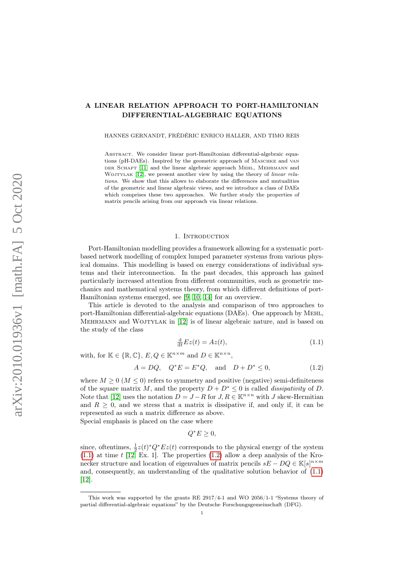# A LINEAR RELATION APPROACH TO PORT-HAMILTONIAN DIFFERENTIAL-ALGEBRAIC EQUATIONS

HANNES GERNANDT, FRÉDÉRIC ENRICO HALLER, AND TIMO REIS

ABSTRACT. We consider linear port-Hamiltonian differential-algebraic equations (pH-DAEs). Inspired by the geometric approach of Maschke and van DER SCHAFT [\[11\]](#page-28-0) and the linear algebraic approach MEHL, MEHRMANN and WOJTYLAK [\[12\]](#page-28-1), we present another view by using the theory of linear relations. We show that this allows to elaborate the differences and mutualities of the geometric and linear algebraic views, and we introduce a class of DAEs which comprises these two approaches. We further study the properties of matrix pencils arising from our approach via linear relations.

## 1. INTRODUCTION

Port-Hamiltonian modelling provides a framework allowing for a systematic portbased network modelling of complex lumped parameter systems from various physical domains. This modelling is based on energy considerations of individual systems and their interconnection. In the past decades, this approach has gained particularly increased attention from different communities, such as geometric mechanics and mathematical systems theory, from which different definitions of port-Hamiltonian systems emerged, see [\[9,](#page-28-2) [10,](#page-28-3) [14\]](#page-28-4) for an overview.

This article is devoted to the analysis and comparison of two approaches to port-Hamiltonian differential-algebraic equations (DAEs). One approach by Mehl, MEHRMANN and WOJTYLAK in [\[12\]](#page-28-1) is of linear algebraic nature, and is based on the study of the class

<span id="page-0-1"></span><span id="page-0-0"></span>
$$
\frac{\mathrm{d}}{\mathrm{d}t}Ez(t) = Az(t),\tag{1.1}
$$

with, for  $\mathbb{K} \in \{\mathbb{R}, \mathbb{C}\}, E, Q \in \mathbb{K}^{n \times m}$  and  $D \in \mathbb{K}^{n \times n}$ ,

$$
A = DQ, \quad Q^*E = E^*Q, \quad \text{and} \quad D + D^* \le 0,\tag{1.2}
$$

where  $M \geq 0$  ( $M \leq 0$ ) refers to symmetry and positive (negative) semi-definiteness of the square matrix M, and the property  $D + D^* \leq 0$  is called *dissipativity* of D. Note that [\[12\]](#page-28-1) uses the notation  $D = J - R$  for  $J, R \in \mathbb{K}^{n \times n}$  with J skew-Hermitian and  $R \geq 0$ , and we stress that a matrix is dissipative if, and only if, it can be represented as such a matrix difference as above. Special emphasis is placed on the case where

 $Q^*E \geq 0$ ,

since, oftentimes,  $\frac{1}{2}z(t)^*Q^*Ez(t)$  corresponds to the physical energy of the system  $(1.1)$  at time t [\[12,](#page-28-1) Ex. 1]. The properties  $(1.2)$  allow a deep analysis of the Kronecker structure and location of eigenvalues of matrix pencils  $sE - DQ \in \mathbb{K}[s]^{n \times m}$ and, consequently, an understanding of the qualitative solution behavior of [\(1.1\)](#page-0-0) [\[12\]](#page-28-1).

This work was supported by the grants RE 2917/4-1 and WO 2056/1-1 "Systems theory of partial differential-algebraic equations" by the Deutsche Forschungsgemeinschaft (DFG).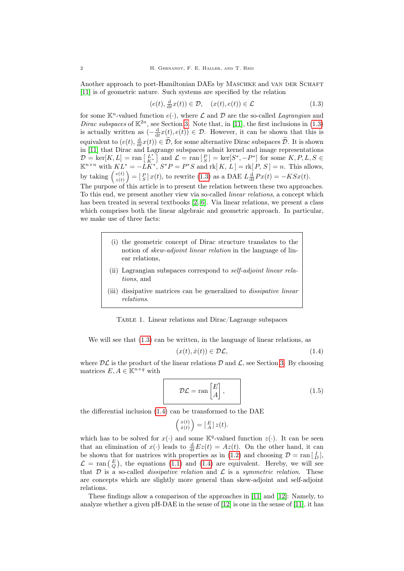Another approach to port-Hamiltonian DAEs by MASCHKE and VAN DER SCHAFT [\[11\]](#page-28-0) is of geometric nature. Such systems are specified by the relation

<span id="page-1-0"></span>
$$
(e(t), \frac{\mathrm{d}}{\mathrm{d}t}x(t)) \in \mathcal{D}, \quad (x(t), e(t)) \in \mathcal{L}
$$
\n
$$
(1.3)
$$

for some  $\mathbb{K}^n$ -valued function  $e(\cdot)$ , where  $\mathcal L$  and  $\mathcal D$  are the so-called *Lagrangian* and Dirac subspaces of  $\mathbb{K}^{2n}$ , see Section [3.](#page-4-0) Note that, in [\[11\]](#page-28-0), the first inclusions in [\(1.3\)](#page-1-0) is actually written as  $(-\frac{d}{dt}x(t), e(t)) \in \mathcal{D}$ . However, it can be shown that this is equivalent to  $(e(t), \frac{d}{dt}x(t)) \in \tilde{\mathcal{D}}$ , for some alternative Dirac subspaces  $\tilde{\mathcal{D}}$ . It is shown in [\[11\]](#page-28-0) that Dirac and Lagrange subspaces admit kernel and image representations  $\mathcal{D} = \ker[K, L] = \text{ran} \begin{bmatrix} L^* \\ K^* \end{bmatrix}$  and  $\mathcal{L} = \text{ran} \begin{bmatrix} P \\ S \end{bmatrix} = \text{ker}[S^*, -P^*]$  for some  $K, P, L, S \in$  $\mathbb{K}^{n \times n}$  with  $KL^* = -LK^*$ ,  $S^*P = P^*S$  and  $\text{rk}[K, L] = \text{rk}[P, S] = n$ . This allows, by taking  $\begin{pmatrix} e(t) \\ z(t) \end{pmatrix}$  $\begin{bmatrix} e(t) \\ z(t) \end{bmatrix} = \begin{bmatrix} P \\ S \end{bmatrix} x(t)$ , to rewrite [\(1.3\)](#page-1-0) as a DAE  $L \frac{d}{dt} Px(t) = -KSx(t)$ . The purpose of this article is to present the relation between these two approaches. To this end, we present another view via so-called linear relations, a concept which has been treated in several textbooks [\[2,](#page-28-5) [6\]](#page-28-6). Via linear relations, we present a class which comprises both the linear algebraic and geometric approach. In particular,

- (i) the geometric concept of Dirac structure translates to the notion of *skew-adjoint linear relation* in the language of linear relations,
- (ii) Lagrangian subspaces correspond to self-adjoint linear relations, and
- (iii) dissipative matrices can be generalized to dissipative linear relations.

Table 1. Linear relations and Dirac/Lagrange subspaces

We will see that [\(1.3\)](#page-1-0) can be written, in the language of linear relations, as

<span id="page-1-1"></span>
$$
(x(t), \dot{x}(t)) \in \mathcal{DL},\tag{1.4}
$$

where  $\mathcal{DL}$  is the product of the linear relations  $\mathcal D$  and  $\mathcal L$ , see Section [3.](#page-4-0) By choosing matrices  $E, A \in \mathbb{K}^{n \times q}$  with

<span id="page-1-2"></span>
$$
\mathcal{DL} = \operatorname{ran}\left[\begin{matrix} E \\ A \end{matrix}\right],\tag{1.5}
$$

the differential inclusion [\(1.4\)](#page-1-1) can be transformed to the DAE

$$
\begin{pmatrix} x(t) \\ \dot{x}(t) \end{pmatrix} = \begin{bmatrix} E \\ A \end{bmatrix} z(t).
$$

which has to be solved for  $x(\cdot)$  and some  $\mathbb{K}^q$ -valued function  $z(\cdot)$ . It can be seen that an elimination of  $x(\cdot)$  leads to  $\frac{d}{dt}Ez(t) = Az(t)$ . On the other hand, it can be shown that for matrices with properties as in [\(1.2\)](#page-0-1) and choosing  $\mathcal{D} = \text{ran} \begin{bmatrix} I \\ D \end{bmatrix}$ ,  $\mathcal{L} = \text{ran}(\begin{bmatrix} E \\ Q \end{bmatrix})$ , the equations [\(1.1\)](#page-0-0) and [\(1.4\)](#page-1-1) are equivalent. Hereby, we will see that  $\mathcal D$  is a so-called *dissipative relation* and  $\mathcal L$  is a *symmetric relation*. These are concepts which are slightly more general than skew-adjoint and self-adjoint relations.

These findings allow a comparison of the approaches in [\[11\]](#page-28-0) and [\[12\]](#page-28-1): Namely, to analyze whether a given pH-DAE in the sense of [\[12\]](#page-28-1) is one in the sense of [\[11\]](#page-28-0), it has

we make use of three facts: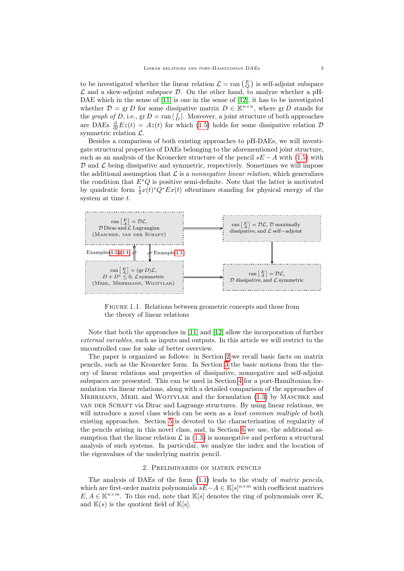to be investigated whether the linear relation  $\mathcal{L} = \text{ran} \begin{pmatrix} E \\ Q \end{pmatrix}$  is self-adjoint subspace  $\mathcal L$  and a skew-adjoint subspace  $\mathcal D$ . On the other hand, to analyze whether a pH-DAE which in the sense of [\[11\]](#page-28-0) is one in the sense of [\[12\]](#page-28-1), it has to be investigated whether  $\mathcal{D} = \text{gr } D$  for some dissipative matrix  $D \in \mathbb{K}^{n \times n}$ , where  $\text{gr } D$  stands for the graph of D, i.e.,  $gr D = \text{ran} \begin{bmatrix} I \\ D \end{bmatrix}$ . Moreover, a joint structure of both approaches are DAEs  $\frac{d}{dt}Ez(t) = Az(t)$  for which [\(1.5\)](#page-1-2) holds for some dissipative relation  $D$ symmetric relation  $\mathcal{L}$ .

Besides a comparison of both existing approaches to pH-DAEs, we will investigate structural properties of DAEs belonging to the aforementioned joint structure, such as an analysis of the Kronecker structure of the pencil  $sE - A$  with [\(1.5\)](#page-1-2) with  $\mathcal D$  and  $\mathcal L$  being dissipative and symmetric, respectively. Sometimes we will impose the additional assumption that  $\mathcal L$  is a nonnegative linear relation, which generalizes the condition that  $E^*Q$  is positive semi-definite. Note that the latter is motivated by quadratic form  $\frac{1}{2}x(t)^*Q^*Ex(t)$  oftentimes standing for physical energy of the system at time t.



FIGURE 1.1. Relations between geometric concepts and those from the theory of linear relations

Note that both the approaches in [\[11\]](#page-28-0) and [\[12\]](#page-28-1) allow the incorporation of further external variables, such as inputs and outputs. In this article we will restrict to the uncontrolled case for sake of better overview.

The paper is organized as follows: in Section [2](#page-2-0) we recall basic facts on matrix pencils, such as the Kronecker form. In Section [3](#page-4-0) the basic notions from the theory of linear relations and properties of dissipative, nonnegative and self-adjoint subspaces are presented. This can be used in Section [4](#page-10-0) for a port-Hamiltonian formulation via linear relations, along with a detailed comparison of the approaches of Mehrmann, Mehl and Wojtylak and the formulation [\(1.3\)](#page-1-0) by Maschke and van der Schaft via Dirac and Lagrange structures. By using linear relations, we will introduce a novel class which can be seen as a *least common multiple* of both existing approaches. Section [5](#page-14-0) is devoted to the characterization of regularity of the pencils arising in this novel class, and, in Section [6](#page-16-0) we use, the additional assumption that the linear relation  $\mathcal L$  in [\(1.3\)](#page-1-0) is nonnegative and perform a structural analysis of such systems. In particular, we analyze the index and the location of the eigenvalues of the underlying matrix pencil.

#### 2. Preliminaries on matrix pencils

<span id="page-2-0"></span>The analysis of DAEs of the form  $(1.1)$  leads to the study of matrix pencils. which are first-order matrix polynomials  $sE-A \in \mathbb{K}[s]^{n \times m}$  with coefficient matrices  $E, A \in \mathbb{K}^{n \times m}$ . To this end, note that  $\mathbb{K}[s]$  denotes the ring of polynomials over K. and  $\mathbb{K}(s)$  is the quotient field of  $\mathbb{K}[s]$ .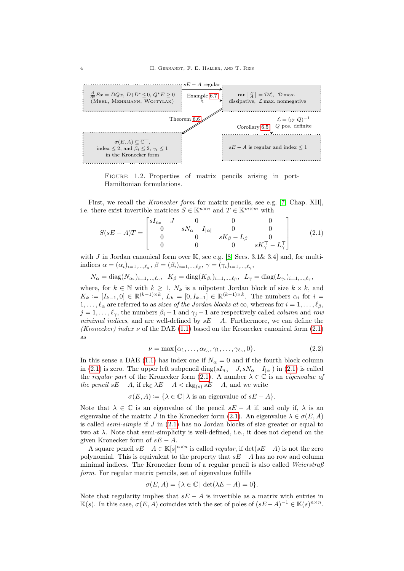

FIGURE 1.2. Properties of matrix pencils arising in port-Hamiltonian formulations.

First, we recall the Kronecker form for matrix pencils, see e.g. [\[7,](#page-28-7) Chap. XII], i.e. there exist invertible matrices  $S \in \mathbb{K}^{n \times n}$  and  $T \in \mathbb{K}^{m \times m}$  with

$$
S(sE - A)T = \begin{bmatrix} sI_{n_0} - J & 0 & 0 & 0 \\ 0 & sN_{\alpha} - I_{|\alpha|} & 0 & 0 \\ 0 & 0 & sK_{\beta} - L_{\beta} & 0 \\ 0 & 0 & 0 & sK_{\gamma}^{-} - L_{\gamma}^{-} \end{bmatrix}
$$
(2.1)

with  $J$  in Jordan canonical form over  $\mathbb{K}$ , see e.g. [\[8,](#page-28-8) Secs. 3.1& 3.4] and, for multiindices  $\alpha = (\alpha_i)_{i=1,\dots,\ell_\alpha}, \ \beta = (\beta_i)_{i=1,\dots,\ell_\beta}, \ \gamma = (\gamma_i)_{i=1,\dots,\ell_\gamma},$ 

$$
N_{\alpha} = \text{diag}(N_{\alpha_i})_{i=1,\dots,\ell_{\alpha}}, \ \ K_{\beta} = \text{diag}(K_{\beta_i})_{i=1,\dots,\ell_{\beta}}, \ \ L_{\gamma} = \text{diag}(L_{\gamma_i})_{i=1,\dots,\ell_{\gamma}},
$$

where, for  $k \in \mathbb{N}$  with  $k \geq 1$ ,  $N_k$  is a nilpotent Jordan block of size  $k \times k$ , and  $K_k := [I_{k-1}, 0] \in \mathbb{R}^{(k-1)\times k}$ ,  $L_k = [0, I_{k-1}] \in \mathbb{R}^{(k-1)\times k}$ . The numbers  $\alpha_i$  for  $i =$  $1, \ldots, \ell_{\alpha}$  are referred to as *sizes of the Jordan blocks at*  $\infty$ , whereas for  $i = 1, \ldots, \ell_{\beta}$ ,  $j = 1, \ldots, \ell_{\gamma}$ , the numbers  $\beta_i - 1$  and  $\gamma_j - 1$  are respectively called *column* and row minimal indices, and are well-defined by  $sE - A$ . Furthermore, we can define the (Kronecker) index  $\nu$  of the DAE [\(1.1\)](#page-0-0) based on the Kronecker canonical form [\(2.1\)](#page-3-0) as

<span id="page-3-1"></span><span id="page-3-0"></span>
$$
\nu = \max\{\alpha_1, \dots, \alpha_{\ell_\alpha}, \gamma_1, \dots, \gamma_{\ell_\gamma}, 0\}.
$$
\n(2.2)

In this sense a DAE [\(1.1\)](#page-0-0) has index one if  $N_{\alpha} = 0$  and if the fourth block column in [\(2.1\)](#page-3-0) is zero. The upper left subpencil diag( $sI_{n_0} - J$ ,  $sN_{\alpha} - I_{|\alpha|}$ ) in (2.1) is called the regular part of the Kronecker form [\(2.1\)](#page-3-0). A number  $\lambda \in \mathbb{C}$  is an eigenvalue of the pencil sE – A, if  $rk_{\mathbb{C}} \lambda E - A < rk_{\mathbb{K}(s)} sE - A$ , and we write

 $\sigma(E, A) \coloneqq {\lambda \in \mathbb{C} \mid \lambda \text{ is an eigenvalue of } sE - A}.$ 

Note that  $\lambda \in \mathbb{C}$  is an eigenvalue of the pencil  $sE - A$  if, and only if,  $\lambda$  is an eigenvalue of the matrix J in the Kronecker form [\(2.1\)](#page-3-0). An eigenvalue  $\lambda \in \sigma(E, A)$ is called *semi-simple* if  $J$  in  $(2.1)$  has no Jordan blocks of size greater or equal to two at  $\lambda$ . Note that semi-simplicity is well-defined, i.e., it does not depend on the given Kronecker form of  $sE - A$ .

A square pencil  $sE - A \in \mathbb{K}[s]^{n \times n}$  is called *regular*, if  $\det(sE - A)$  is not the zero polynomial. This is equivalent to the property that  $sE - A$  has no row and column minimal indices. The Kronecker form of a regular pencil is also called  $Weierstrab$ form. For regular matrix pencils, set of eigenvalues fulfills

$$
\sigma(E, A) = \{ \lambda \in \mathbb{C} \mid \det(\lambda E - A) = 0 \}.
$$

Note that regularity implies that  $sE - A$  is invertible as a matrix with entries in  $\mathbb{K}(s)$ . In this case,  $\sigma(E, A)$  coincides with the set of poles of  $(sE-A)^{-1} \in \mathbb{K}(s)^{n \times n}$ .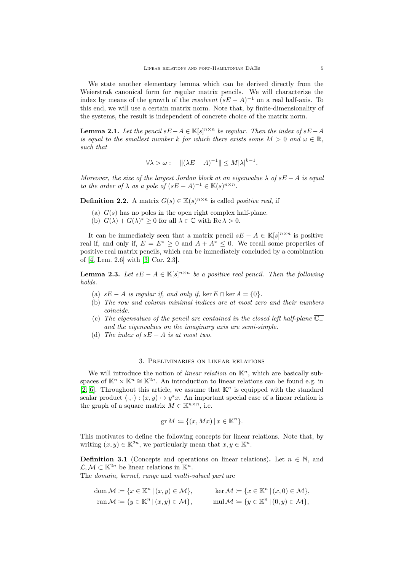We state another elementary lemma which can be derived directly from the Weierstraß canonical form for regular matrix pencils. We will characterize the index by means of the growth of the *resolvent*  $(sE - A)^{-1}$  on a real half-axis. To this end, we will use a certain matrix norm. Note that, by finite-dimensionality of the systems, the result is independent of concrete choice of the matrix norm.

<span id="page-4-2"></span>**Lemma 2.1.** Let the pencil s $E - A \in \mathbb{K}[s]^{n \times n}$  be regular. Then the index of s $E - A$ is equal to the smallest number k for which there exists some  $M > 0$  and  $\omega \in \mathbb{R}$ , such that

$$
\forall \lambda > \omega : \quad \|(\lambda E - A)^{-1}\| \le M|\lambda|^{k-1}.
$$

Moreover, the size of the largest Jordan block at an eigenvalue  $\lambda$  of  $sE - A$  is equal to the order of  $\lambda$  as a pole of  $(sE - A)^{-1} \in \mathbb{K}(s)^{n \times n}$ .

**Definition 2.2.** A matrix  $G(s) \in K(s)^{n \times n}$  is called *positive real*, if

- (a)  $G(s)$  has no poles in the open right complex half-plane.
- (b)  $G(\lambda) + G(\lambda)^* \geq 0$  for all  $\lambda \in \mathbb{C}$  with  $\text{Re }\lambda > 0$ .

It can be immediately seen that a matrix pencil  $sE - A \in \mathbb{K}[s]^{n \times n}$  is positive real if, and only if,  $E = E^* > 0$  and  $A + A^* \leq 0$ . We recall some properties of positive real matrix pencils, which can be immediately concluded by a combination of [\[4,](#page-28-9) Lem. 2.6] with [\[3,](#page-28-10) Cor. 2.3].

<span id="page-4-1"></span>**Lemma 2.3.** Let  $sE - A \in \mathbb{K}[s]^{n \times n}$  be a positive real pencil. Then the following holds.

- (a)  $sE A$  is regular if, and only if, ker  $E \cap \text{ker } A = \{0\}$ .
- (b) The row and column minimal indices are at most zero and their numbers coincide.
- (c) The eigenvalues of the pencil are contained in the closed left half-plane  $\mathbb{C}$ and the eigenvalues on the imaginary axis are semi-simple.
- (d) The index of  $sE A$  is at most two.

## 3. Preliminaries on linear relations

<span id="page-4-0"></span>We will introduce the notion of *linear relation* on  $\mathbb{K}^n$ , which are basically subspaces of  $\mathbb{K}^n \times \mathbb{K}^n \cong \mathbb{K}^{2n}$ . An introduction to linear relations can be found e.g. in [\[2,](#page-28-5) [6\]](#page-28-6). Throughout this article, we assume that  $\mathbb{K}^n$  is equipped with the standard scalar product  $\langle \cdot, \cdot \rangle : (x, y) \mapsto y^*x$ . An important special case of a linear relation is the graph of a square matrix  $M \in \mathbb{K}^{n \times n}$ , i.e.

$$
\operatorname{gr} M := \{ (x, Mx) \, | \, x \in \mathbb{K}^n \}.
$$

This motivates to define the following concepts for linear relations. Note that, by writing  $(x, y) \in \mathbb{K}^{2n}$ , we particularly mean that  $x, y \in \mathbb{K}^{n}$ .

**Definition 3.1** (Concepts and operations on linear relations). Let  $n \in \mathbb{N}$ , and  $\mathcal{L}, \mathcal{M} \subset \mathbb{K}^{2n}$  be linear relations in  $\mathbb{K}^{n}$ .

The domain, kernel, range and multi-valued part are

$$
\text{dom } \mathcal{M} \coloneqq \{x \in \mathbb{K}^n \mid (x, y) \in \mathcal{M}\}, \quad \text{ker } \mathcal{M} \coloneqq \{x \in \mathbb{K}^n \mid (x, 0) \in \mathcal{M}\},
$$
\n
$$
\text{ran } \mathcal{M} \coloneqq \{y \in \mathbb{K}^n \mid (x, y) \in \mathcal{M}\}, \quad \text{mul } \mathcal{M} \coloneqq \{y \in \mathbb{K}^n \mid (0, y) \in \mathcal{M}\},
$$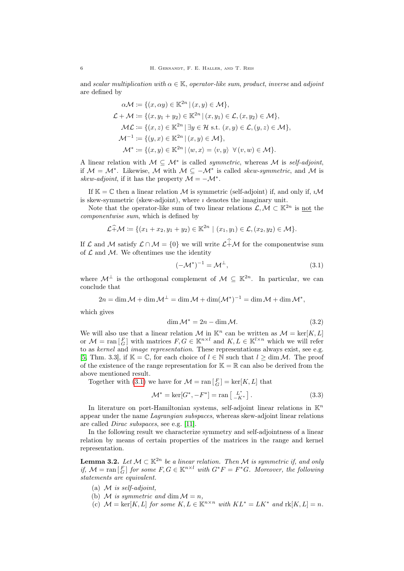and scalar multiplication with  $\alpha \in \mathbb{K}$ , operator-like sum, product, inverse and adjoint are defined by

$$
\alpha \mathcal{M} := \{ (x, \alpha y) \in \mathbb{K}^{2n} \mid (x, y) \in \mathcal{M} \},
$$
  
\n
$$
\mathcal{L} + \mathcal{M} := \{ (x, y_1 + y_2) \in \mathbb{K}^{2n} \mid (x, y_1) \in \mathcal{L}, (x, y_2) \in \mathcal{M} \},
$$
  
\n
$$
\mathcal{ML} := \{ (x, z) \in \mathbb{K}^{2n} \mid \exists y \in \mathcal{H} \text{ s.t. } (x, y) \in \mathcal{L}, (y, z) \in \mathcal{M} \},
$$
  
\n
$$
\mathcal{M}^{-1} := \{ (y, x) \in \mathbb{K}^{2n} \mid (x, y) \in \mathcal{M} \},
$$
  
\n
$$
\mathcal{M}^* := \{ (x, y) \in \mathbb{K}^{2n} \mid \langle w, x \rangle = \langle v, y \rangle \ \forall (v, w) \in \mathcal{M} \}.
$$

A linear relation with  $M \subseteq \mathcal{M}^*$  is called *symmetric*, whereas M is self-adjoint, if  $M = M^*$ . Likewise, M with  $M \subseteq -M^*$  is called *skew-symmetric*, and M is skew-adjoint, if it has the property  $\mathcal{M} = -\mathcal{M}^*$ .

If  $\mathbb{K} = \mathbb{C}$  then a linear relation M is symmetric (self-adjoint) if, and only if,  $\imath \mathcal{M}$ is skew-symmetric (skew-adjoint), where  $\imath$  denotes the imaginary unit.

Note that the operator-like sum of two linear relations  $\mathcal{L}, \mathcal{M} \subset \mathbb{K}^{2n}$  is <u>not</u> the componentwise sum, which is defined by

$$
\mathcal{L} \widehat{+} \mathcal{M} \coloneqq \{ (x_1 + x_2, y_1 + y_2) \in \mathbb{K}^{2n} \mid (x_1, y_1) \in \mathcal{L}, (x_2, y_2) \in \mathcal{M} \}.
$$

If  $\mathcal L$  and  $\mathcal M$  satisfy  $\mathcal L \cap \mathcal M = \{0\}$  we will write  $\mathcal L + \mathcal M$  for the componentwise sum of  $\mathcal L$  and  $\mathcal M$ . We oftentimes use the identity

<span id="page-5-0"></span>
$$
(-\mathcal{M}^*)^{-1} = \mathcal{M}^\perp,\tag{3.1}
$$

where  $\mathcal{M}^{\perp}$  is the orthogonal complement of  $\mathcal{M} \subseteq \mathbb{K}^{2n}$ . In particular, we can conclude that

$$
2n = \dim \mathcal{M} + \dim \mathcal{M}^{\perp} = \dim \mathcal{M} + \dim (\mathcal{M}^*)^{-1} = \dim \mathcal{M} + \dim \mathcal{M}^*,
$$

which gives

<span id="page-5-2"></span>
$$
\dim \mathcal{M}^* = 2n - \dim \mathcal{M}.
$$
 (3.2)

We will also use that a linear relation M in  $\mathbb{K}^n$  can be written as  $\mathcal{M} = \text{ker}[K, L]$ or  $\mathcal{M} = \text{ran} \begin{bmatrix} F \\ G \end{bmatrix}$  with matrices  $F, G \in \mathbb{K}^{n \times l}$  and  $K, L \in \mathbb{K}^{l \times n}$  which we will refer to as kernel and image representation. These representations always exist, see e.g. [\[5,](#page-28-11) Thm. 3.3], if  $\mathbb{K} = \mathbb{C}$ , for each choice of  $l \in \mathbb{N}$  such that  $l \geq \dim \mathcal{M}$ . The proof of the existence of the range representation for  $\mathbb{K} = \mathbb{R}$  can also be derived from the above mentioned result.

Together with [\(3.1\)](#page-5-0) we have for  $\mathcal{M} = \text{ran} \begin{bmatrix} F \\ G \end{bmatrix} = \text{ker}[K, L]$  that

<span id="page-5-1"></span>
$$
\mathcal{M}^* = \ker[G^*, -F^*] = \text{ran}\left[\begin{array}{c} L^* \\ -K^* \end{array}\right].\tag{3.3}
$$

In literature on port-Hamiltonian systems, self-adjoint linear relations in  $\mathbb{K}^n$ appear under the name Lagrangian subspaces, whereas skew-adjoint linear relations are called Dirac subspaces, see e.g. [\[11\]](#page-28-0).

In the following result we characterize symmetry and self-adjointness of a linear relation by means of certain properties of the matrices in the range and kernel representation.

<span id="page-5-3"></span>**Lemma 3.2.** Let  $M \subset \mathbb{K}^{2n}$  be a linear relation. Then M is symmetric if, and only if,  $\mathcal{M} = \text{ran} \begin{bmatrix} F \\ G \end{bmatrix}$  for some  $F, G \in \mathbb{K}^{n \times l}$  with  $G^*F = F^*G$ . Moreover, the following statements are equivalent.

- (a)  $\mathcal M$  is self-adjoint,
- (b) M is symmetric and dim  $\mathcal{M} = n$ ,
- (c)  $\mathcal{M} = \text{ker}[K, L]$  for some  $K, L \in \mathbb{K}^{n \times n}$  with  $KL^* = LK^*$  and  $\text{rk}[K, L] = n$ .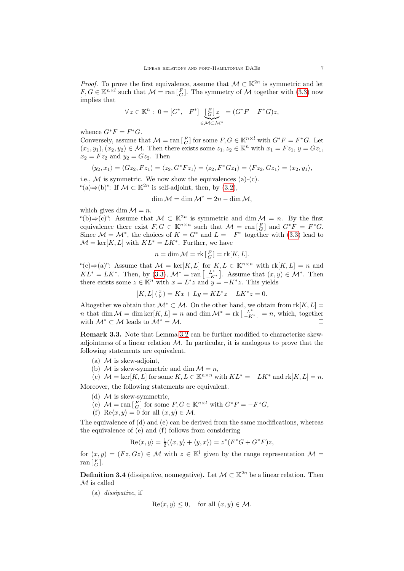*Proof.* To prove the first equivalence, assume that  $\mathcal{M} \subset \mathbb{K}^{2n}$  is symmetric and let  $F, G \in \mathbb{K}^{n \times l}$  such that  $\mathcal{M} = \text{ran} \begin{bmatrix} F \\ G \end{bmatrix}$ . The symmetry of  $\mathcal{M}$  together with  $(3.3)$  now implies that

$$
\forall z \in \mathbb{K}^n : 0 = [G^*, -F^*] \underbrace{\begin{bmatrix} F \\ G \end{bmatrix} z}_{\in \mathcal{M} \subset \mathcal{M}^*} = (G^*F - F^*G)z,
$$

whence  $G^*F = F^*G$ .

Conversely, assume that  $\mathcal{M} = \text{ran} \begin{bmatrix} F \\ G \end{bmatrix}$  for some  $F, G \in \mathbb{K}^{n \times l}$  with  $G^*F = F^*G$ . Let  $(x_1, y_1), (x_2, y_2) \in \mathcal{M}$ . Then there exists some  $z_1, z_2 \in \mathbb{K}^n$  with  $x_1 = Fz_1, y = Gz_1$ ,  $x_2 = Fz_2$  and  $y_2 = Gz_2$ . Then

$$
\langle y_2, x_1\rangle = \langle Gz_2, Fz_1\rangle = \langle z_2, G^*Fz_1\rangle = \langle z_2, F^*Gz_1\rangle = \langle Fz_2, Gz_1\rangle = \langle x_2, y_1\rangle,
$$

i.e.,  $M$  is symmetric. We now show the equivalences (a)-(c). "(a)⇒(b)": If  $\mathcal{M} \subset \mathbb{K}^{2n}$  is self-adjoint, then, by [\(3.2\)](#page-5-2),

$$
\dim \mathcal{M} = \dim \mathcal{M}^* = 2n - \dim \mathcal{M},
$$

which gives dim  $\mathcal{M} = n$ .

"(b)⇒(c)": Assume that  $\mathcal{M} \subset \mathbb{K}^{2n}$  is symmetric and dim  $\mathcal{M} = n$ . By the first equivalence there exist  $F, G \in \mathbb{K}^{n \times n}$  such that  $\mathcal{M} = \text{ran} \begin{bmatrix} F \\ G \end{bmatrix}$  and  $G^*F = F^*G$ . Since  $\mathcal{M} = \mathcal{M}^*$ , the choices of  $K = G^*$  and  $L = -F^*$  together with [\(3.3\)](#page-5-1) lead to  $\mathcal{M} = \text{ker}[K, L]$  with  $KL^* = LK^*$ . Further, we have

$$
n = \dim \mathcal{M} = \text{rk}\left[\begin{smallmatrix} F \\ G \end{smallmatrix}\right] = \text{rk}[K, L].
$$

"(c)⇒(a)": Assume that  $\mathcal{M} = \text{ker}[K, L]$  for  $K, L \in \mathbb{K}^{n \times n}$  with  $\text{rk}[K, L] = n$  and  $KL^* = LK^*$ . Then, by [\(3.3\)](#page-5-1),  $\mathcal{M}^* = \text{ran} \begin{bmatrix} L^* \\ -K^* \end{bmatrix}$ . Assume that  $(x, y) \in \mathcal{M}^*$ . Then there exists some  $z \in \mathbb{K}^n$  with  $x = L^*z$  and  $y = -K^*z$ . This yields

$$
[K, L] \left( \begin{matrix} x \\ y \end{matrix} \right) = Kx + Ly = KL^* z - LK^* z = 0.
$$

Altogether we obtain that  $\mathcal{M}^* \subset \mathcal{M}$ . On the other hand, we obtain from  $rk[K, L] =$ n that dim  $\mathcal{M} = \dim \ker[K, L] = n$  and  $\dim \mathcal{M}^* = \text{rk} \left[ L_{K^*}^* \right] = n$ , which, together with  $\mathcal{M}^* \subset \mathcal{M}$  leads to  $\mathcal{M}^* = \mathcal{M}$ .

<span id="page-6-1"></span>Remark 3.3. Note that Lemma [3.2](#page-5-3) can be further modified to characterize skewadjointness of a linear relation  $M$ . In particular, it is analogous to prove that the following statements are equivalent.

- (a)  $M$  is skew-adjoint,
- (b) M is skew-symmetric and dim  $\mathcal{M} = n$ ,

(c)  $\mathcal{M} = \text{ker}[K, L]$  for some  $K, L \in \mathbb{K}^{n \times n}$  with  $KL^* = -LK^*$  and  $\text{rk}[K, L] = n$ .

Moreover, the following statements are equivalent.

- (d)  $M$  is skew-symmetric,
- (e)  $\mathcal{M} = \text{ran} \begin{bmatrix} F \\ G \end{bmatrix}$  for some  $F, G \in \mathbb{K}^{n \times l}$  with  $G^*F = -F^*G$ ,
- (f) Re $\langle x, y \rangle = 0$  for all  $(x, y) \in \mathcal{M}$ .

The equivalence of (d) and (e) can be derived from the same modifications, whereas the equivalence of (e) and (f) follows from considering

$$
\operatorname{Re}\langle x,y\rangle = \frac{1}{2}(\langle x,y\rangle + \langle y,x\rangle) = z^*(F^*G + G^*F)z,
$$

for  $(x, y) = (Fz, Gz) \in M$  with  $z \in \mathbb{K}^l$  given by the range representation  $M =$  $\mathrm{ran} \left[ \frac{F}{G} \right]$ .

<span id="page-6-0"></span>**Definition 3.4** (dissipative, nonnegative). Let  $\mathcal{M} \subset \mathbb{K}^{2n}$  be a linear relation. Then  $\mathcal M$  is called

(a) dissipative, if

$$
\text{Re}\langle x,y\rangle \leq 0
$$
, for all  $(x,y) \in \mathcal{M}$ .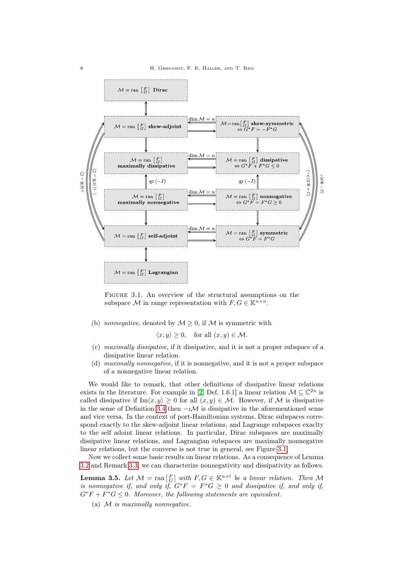

<span id="page-7-0"></span>FIGURE 3.1. An overview of the structural assumptions on the subspace M in range representation with  $F, G \in \mathbb{K}^{n \times n}$ .

(b) nonnegative, denoted by  $\mathcal{M} \geq 0$ , if  $\mathcal{M}$  is symmetric with

$$
\langle x, y \rangle \geq 0
$$
, for all  $(x, y) \in \mathcal{M}$ .

- (c) maximally dissipative, if it dissipative, and it is not a proper subspace of a dissipative linear relation.
- (d) maximally nonnegative, if it is nonnegative, and it is not a proper subspace of a nonnegative linear relation.

We would like to remark, that other definitions of dissipative linear relations exists in the literature. For example in [\[2,](#page-28-5) Def. 1.6.1] a linear relation  $\mathcal{M} \subseteq \mathbb{C}^{2n}$  is called dissipative if  $\text{Im}\langle x, y \rangle \geq 0$  for all  $(x, y) \in \mathcal{M}$ . However, if M is dissipative in the sense of Definition [3.4](#page-6-0) then  $-i\mathcal{M}$  is dissipative in the aforementioned sense and vice versa. In the context of port-Hamiltonian systems, Dirac subspaces correspond exactly to the skew-adjoint linear relations, and Lagrange subspaces exaclty to the self adoint linear relations. In particular, Dirac subspaces are maximally dissipative linear relations, and Lagrangian subspaces are maximally nonnegative linear relations, but the converse is not true in general, see Figure [3.1.](#page-7-0)

Now we collect some basic results on linear relations. As a consequence of Lemma [3.2](#page-5-3) and Remark [3.3,](#page-6-1) we can characterize nonnegativity and dissipativity as follows.

<span id="page-7-1"></span>**Lemma 3.5.** Let  $\mathcal{M} = \text{ran} \begin{bmatrix} F \\ G \end{bmatrix}$  with  $F, G \in \mathbb{K}^{n \times l}$  be a linear relation. Then M is nonnegative if, and only if,  $G^*F = F^*G \geq 0$  and dissipative if, and only if,  $G^*F + F^*G \leq 0$ . Moreover, the following statements are equivalent.

(a)  $M$  is maximally nonnegative.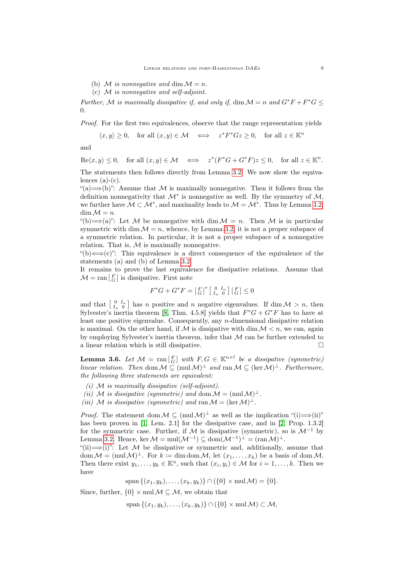- (b) M is nonnegative and dim  $\mathcal{M} = n$ .
- (c) M is nonnegative and self-adjoint.

Further, M is maximally dissipative if, and only if, dim  $\mathcal{M} = n$  and  $G^*F + F^*G \leq$ 0.

Proof. For the first two equivalences, observe that the range representation yields

$$
\langle x, y \rangle \ge 0
$$
, for all  $(x, y) \in \mathcal{M}$   $\iff$   $z^* F^* G z \ge 0$ , for all  $z \in \mathbb{K}^n$ 

and

 $\text{Re}\langle x, y \rangle \leq 0$ , for all  $(x, y) \in \mathcal{M}$   $\iff z^*(F^*G + G^*F)z \leq 0$ , for all  $z \in \mathbb{K}^n$ .

The statements then follows directly from Lemma [3.2.](#page-5-3) We now show the equivalences  $(a)-(c)$ .

 $\mathcal{L}^{(a)}\Longrightarrow$  (b)": Assume that M is maximally nonnegative. Then it follows from the definition nonnegativity that  $\mathcal{M}^*$  is nonnegative as well. By the symmetry of  $\mathcal{M}$ , we further have  $M \subset \mathcal{M}^*$ , and maximality leads to  $\mathcal{M} = \mathcal{M}^*$ . Thus by Lemma [3.2,](#page-5-3)  $\dim M = n$ .

"(b)  $\Longrightarrow$  (a)": Let M be nonnegative with dim  $\mathcal{M} = n$ . Then M is in particular symmetric with dim  $\mathcal{M} = n$ , whence, by Lemma [3.2,](#page-5-3) it is not a proper subspace of a symmetric relation. In particular, it is not a proper subspace of a nonnegative relation. That is,  $M$  is maximally nonnegative.

"(b) $\Longleftrightarrow$  (c)": This equivalence is a direct consequence of the equivalence of the statements (a) and (b) of Lemma [3.2.](#page-5-3)

It remains to prove the last equivalence for dissipative relations. Assume that  $\mathcal{M} = \text{ran} \left[ \begin{smallmatrix} F \\ G \end{smallmatrix} \right]$  is dissipative. First note

$$
F^*G + G^*F = \left[\begin{smallmatrix} F \\ G \end{smallmatrix}\right]^* \left[\begin{smallmatrix} 0 & I_n \\ I_n & 0 \end{smallmatrix}\right] \left[\begin{smallmatrix} F \\ G \end{smallmatrix}\right] \leq 0
$$

and that  $\begin{bmatrix} 0 & I_n \\ I_n & 0 \end{bmatrix}$  has n positive and n negative eigenvalues. If dim  $\mathcal{M} > n$ , then Sylvester's inertia theorem [\[8,](#page-28-8) Thm. 4.5.8] yields that  $F^*G + G^*F$  has to have at least one positive eigenvalue. Consequently, any n-dimensional dissipative relation is maximal. On the other hand, if  $M$  is dissipative with dim  $M < n$ , we can, again by employing Sylvester's inertia theorem, infer that  $M$  can be further extended to a linear relation which is still dissipative.  $\Box$ 

<span id="page-8-0"></span>**Lemma 3.6.** Let  $\mathcal{M} = \text{ran}[\begin{bmatrix} F \\ G \end{bmatrix}$  with  $F, G \in \mathbb{K}^{n \times l}$  be a dissipative (symmetric) linear relation. Then dom  $M \subseteq (\text{mul }M)^{\perp}$  and  $\text{ran }M \subseteq (\text{ker }M)^{\perp}$ . Furthermore, the following three statements are equivalent:

- (i)  $M$  is maximally dissipative (self-adjoint).
- (ii) M is dissipative (symmetric) and dom  $\mathcal{M} = (\text{mul } \mathcal{M})^{\perp}$ .
- (iii) M is dissipative (symmetric) and ran  $\mathcal{M} = (\ker \mathcal{M})^{\perp}$ .

*Proof.* The statement dom  $M \subseteq (\text{mul } M)^{\perp}$  as well as the implication "(i)  $\Longrightarrow$  (ii)" has been proven in [\[1,](#page-28-12) Lem. 2.1] for the dissipative case, and in [\[2,](#page-28-5) Prop. 1.3.2] for the symmetric case. Further, if M is dissipative (symmetric), so is  $\mathcal{M}^{-1}$  by Lemma [3.2.](#page-5-3) Hence, ker  $\mathcal{M} = \text{mul}(\mathcal{M}^{-1}) \subseteq \text{dom}(\mathcal{M}^{-1})^{\perp} = (\text{ran }\mathcal{M})^{\perp}$ .

 $\lbrack \mathbf{ii}) \rbrack \rightarrow \lbrack \mathbf{i} \rbrack \rbrack$ ": Let M be dissipative or symmetric and, additionally, assume that dom  $\mathcal{M} = (\text{mul } \mathcal{M})^{\perp}$ . For  $k \coloneqq \dim \text{dom } \mathcal{M}$ , let  $(x_1, \ldots, x_k)$  be a basis of dom  $\mathcal{M}$ . Then there exist  $y_1, \ldots, y_k \in \mathbb{K}^n$ , such that  $(x_i, y_i) \in \mathcal{M}$  for  $i = 1, \ldots, k$ . Then we have

span  $\{(x_1, y_k), \ldots, (x_k, y_k)\} \cap (\{0\} \times \text{mul } \mathcal{M}) = \{0\}.$ 

Since, further,  $\{0\} \times \text{mul } \mathcal{M} \subseteq \mathcal{M}$ , we obtain that

span  $\{(x_1, y_k), \ldots, (x_k, y_k)\} \cap (\{0\} \times \text{mul } \mathcal{M}) \subset \mathcal{M}$ ,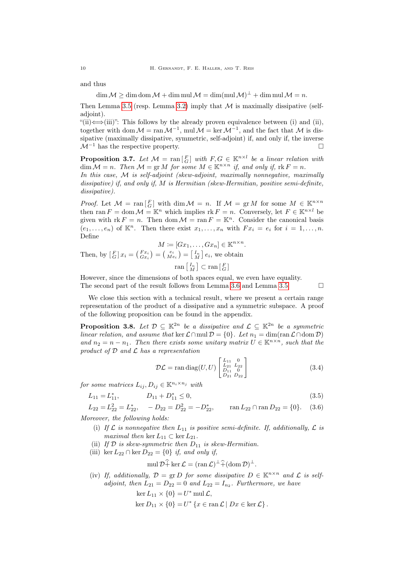and thus

 $\dim \mathcal{M} \geq \dim \mathrm{dom}\, \mathcal{M} + \dim \mathrm{mul}\, \mathcal{M} = \dim (\mathrm{mul}\, \mathcal{M})^\perp + \dim \mathrm{mul}\, \mathcal{M} = n.$ 

Then Lemma [3.5](#page-7-1) (resp. Lemma [3.2\)](#page-5-3) imply that  $\mathcal M$  is maximally dissipative (selfadjoint).

"(ii)  $\iff$  (iii)": This follows by the already proven equivalence between (i) and (ii), together with dom  $\mathcal{M} = \text{ran }\mathcal{M}^{-1}$ , mul  $\mathcal{M} = \text{ker }\mathcal{M}^{-1}$ , and the fact that  $\mathcal M$  is dissipative (maximally dissipative, symmetric, self-adjoint) if, and only if, the inverse  $\mathcal{M}^{-1}$  has the respective property.

<span id="page-9-0"></span>**Proposition 3.7.** Let  $\mathcal{M} = \text{ran} \begin{bmatrix} F \\ G \end{bmatrix}$  with  $F, G \in \mathbb{K}^{n \times l}$  be a linear relation with  $\dim \mathcal{M} = n$ . Then  $\mathcal{M} = \text{gr } M$  for some  $M \in \mathbb{K}^{n \times n}$  if, and only if,  $\text{rk } F = n$ .

In this case, M is self-adjoint (skew-adjoint, maximally nonnegative, maximally dissipative) if, and only if, M is Hermitian (skew-Hermitian, positive semi-definite, dissipative).

*Proof.* Let  $\mathcal{M} = \text{ran} \begin{bmatrix} F \\ G \end{bmatrix}$  with dim  $\mathcal{M} = n$ . If  $\mathcal{M} = \text{gr } M$  for some  $M \in \mathbb{K}^{n \times n}$ then ran  $F = \text{dom } \mathcal{M} = \mathbb{K}^n$  which implies rk  $F = n$ . Conversely, let  $F \in \mathbb{K}^{n \times l}$  be given with  $rk F = n$ . Then dom  $\mathcal{M} = \text{ran } F = \mathbb{K}^n$ . Consider the canonical basis  $(e_1, \ldots, e_n)$  of  $\mathbb{K}^n$ . Then there exist  $x_1, \ldots, x_n$  with  $Fx_i = e_i$  for  $i = 1, \ldots, n$ . Define

$$
M := [Gx_1, \dots, Gx_n] \in \mathbb{K}^{n \times n}.
$$
  
Then, by  $\begin{bmatrix} F \\ G \end{bmatrix} x_i = \begin{pmatrix} Fx_i \\ Gx_i \end{pmatrix} = \begin{bmatrix} \begin{bmatrix} e_i \\ Me_i \end{bmatrix} \end{bmatrix} = \begin{bmatrix} I_n \\ M \end{bmatrix} e_i$ , we obtain  

$$
ran \begin{bmatrix} I_n \\ M \end{bmatrix} \subset ran \begin{bmatrix} F \\ G \end{bmatrix}
$$

However, since the dimensions of both spaces equal, we even have equality. The second part of the result follows from Lemma [3.6](#page-8-0) and Lemma [3.5.](#page-7-1)  $\Box$ 

We close this section with a technical result, where we present a certain range representation of the product of a dissipative and a symmetric subspace. A proof of the following proposition can be found in the appendix.

<span id="page-9-1"></span>**Proposition 3.8.** Let  $\mathcal{D} \subset \mathbb{K}^{2n}$  be a dissipative and  $\mathcal{L} \subset \mathbb{K}^{2n}$  be a symmetric linear relation, and assume that ker  $\mathcal{L} \cap \text{mul } \mathcal{D} = \{0\}$ . Let  $n_1 = \dim(\text{ran } \mathcal{L} \cap \text{dom } \mathcal{D})$ and  $n_2 = n - n_1$ . Then there exists some unitary matrix  $U \in \mathbb{K}^{n \times n}$ , such that the product of  $D$  and  $L$  has a representation

<span id="page-9-4"></span><span id="page-9-3"></span><span id="page-9-2"></span>
$$
\mathcal{DL} = \text{ran diag}(U, U) \begin{bmatrix} L_{11} & 0 \\ L_{21} & L_{22} \\ D_{11} & 0 \\ D_{21} & D_{22} \end{bmatrix}
$$
(3.4)

for some matrices  $L_{ij}, D_{ij} \in \mathbb{K}^{n_i \times n_j}$  with

$$
L_{11} = L_{11}^*, \qquad D_{11} + D_{11}^* \le 0,\tag{3.5}
$$

 $L_{22} = L_{22}^2 = L_{22}^*, \quad -D_{22} = D_{22}^2 = -D_{22}^*, \quad \text{ran } L_{22} \cap \text{ran } D_{22} = \{0\}.$  (3.6)

Moreover, the following holds:

- (i) If  $\mathcal L$  is nonnegative then  $L_{11}$  is positive semi-definite. If, additionally,  $\mathcal L$  is maximal then ker  $L_{11} \subset \text{ker } L_{21}$ .
- (ii) If  $D$  is skew-symmetric then  $D_{11}$  is skew-Hermitian.
- (iii) ker  $L_{22} \cap \text{ker } D_{22} = \{0\}$  if, and only if,

$$
\operatorname{mul} \mathcal{D} \widehat{+} \ker \mathcal{L} = (\operatorname{ran} \mathcal{L})^{\perp} \widehat{+} (\operatorname{dom} \mathcal{D})^{\perp}.
$$

(iv) If, additionally,  $\mathcal{D} = \text{gr } D$  for some dissipative  $D \in \mathbb{K}^{n \times n}$  and  $\mathcal{L}$  is selfadjoint, then  $L_{21} = D_{22} = 0$  and  $L_{22} = I_{n_2}$ . Furthermore, we have

$$
\ker L_{11} \times \{0\} = U^* \operatorname{mul} \mathcal{L},
$$

$$
\ker D_{11} \times \{0\} = U^* \{x \in \operatorname{ran} \mathcal{L} \mid Dx \in \ker \mathcal{L}\}.
$$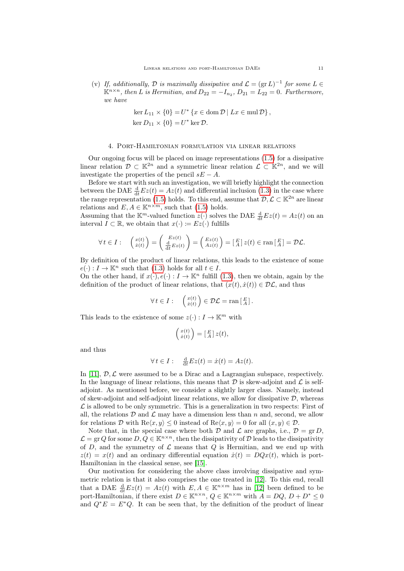(v) If, additionally,  $D$  is maximally dissipative and  $\mathcal{L} = (\text{gr } L)^{-1}$  for some  $L \in$  $\mathbb{K}^{n \times n}$ , then L is Hermitian, and  $D_{22} = -I_{n_2}$ ,  $D_{21} = L_{22} = 0$ . Furthermore, we have

$$
\ker L_{11} \times \{0\} = U^* \{x \in \text{dom}\,\mathcal{D} \mid Lx \in \text{mul}\,\mathcal{D}\},
$$
  

$$
\ker D_{11} \times \{0\} = U^* \ker \mathcal{D}.
$$

## 4. Port-Hamiltonian formulation via linear relations

<span id="page-10-0"></span>Our ongoing focus will be placed on image representations [\(1.5\)](#page-1-2) for a dissipative linear relation  $\mathcal{D} \subset \mathbb{K}^{2n}$  and a symmetric linear relation  $\mathcal{L} \subset \mathbb{K}^{2n}$ , and we will investigate the properties of the pencil  $sE - A$ .

Before we start with such an investigation, we will briefly highlight the connection between the DAE  $\frac{d}{dt}E_z(t) = Az(t)$  and differential inclusion [\(1.3\)](#page-1-0) in the case where the range representation [\(1.5\)](#page-1-2) holds. To this end, assume that  $\mathcal{D}, \mathcal{L} \subset \mathbb{K}^{2n}$  are linear relations and  $E, A \in \mathbb{K}^{n \times m}$ , such that [\(1.5\)](#page-1-2) holds.

Assuming that the  $\mathbb{K}^m$ -valued function  $z(\cdot)$  solves the DAE  $\frac{d}{dt}Ez(t) = Az(t)$  on an interval  $I \subset \mathbb{R}$ , we obtain that  $x(\cdot) \coloneqq Ez(\cdot)$  fulfills

$$
\forall t \in I: \quad \begin{pmatrix} x(t) \\ \dot{x}(t) \end{pmatrix} = \begin{pmatrix} Ez(t) \\ \frac{d}{dt}Ez(t) \end{pmatrix} = \begin{pmatrix} Ez(t) \\ Az(t) \end{pmatrix} = \begin{bmatrix} E \\ A \end{bmatrix} z(t) \in \text{ran}\begin{bmatrix} E \\ A \end{bmatrix} = \mathcal{DL}.
$$

By definition of the product of linear relations, this leads to the existence of some  $e(\cdot): I \to \mathbb{K}^n$  such that [\(1.3\)](#page-1-0) holds for all  $t \in I$ .

On the other hand, if  $x(\cdot), e(\cdot) : I \to \mathbb{K}^n$  fulfill [\(1.3\)](#page-1-0), then we obtain, again by the definition of the product of linear relations, that  $(x(t), \dot{x}(t)) \in \mathcal{DL}$ , and thus

$$
\forall t \in I: \quad \begin{pmatrix} x(t) \\ \dot{x}(t) \end{pmatrix} \in \mathcal{DL} = \text{ran} \begin{bmatrix} E \\ A \end{bmatrix}.
$$

This leads to the existence of some  $z(\cdot) : I \to \mathbb{K}^m$  with

$$
\begin{pmatrix} x(t) \\ \dot{x}(t) \end{pmatrix} = \begin{bmatrix} E \\ A \end{bmatrix} z(t),
$$

and thus

$$
\forall t \in I: \quad \frac{\mathrm{d}}{\mathrm{d}t} E z(t) = \dot{x}(t) = Az(t).
$$

In [\[11\]](#page-28-0),  $\mathcal{D}, \mathcal{L}$  were assumed to be a Dirac and a Lagrangian subspace, respectively. In the language of linear relations, this means that  $D$  is skew-adjoint and  $\mathcal L$  is selfadjoint. As mentioned before, we consider a slightly larger class. Namely, instead of skew-adjoint and self-adjoint linear relations, we allow for dissipative  $D$ , whereas  $\mathcal L$  is allowed to be only symmetric. This is a generalization in two respects: First of all, the relations  $\mathcal D$  and  $\mathcal L$  may have a dimension less than n and, second, we allow for relations D with  $\text{Re}\langle x, y \rangle \leq 0$  instead of  $\text{Re}\langle x, y \rangle = 0$  for all  $(x, y) \in \mathcal{D}$ .

Note that, in the special case where both  $D$  and  $\mathcal L$  are graphs, i.e.,  $D = \text{gr } D$ .  $\mathcal{L} = \text{gr } Q$  for some  $D, Q \in \mathbb{K}^{n \times n}$ , then the dissipativity of D leads to the dissipativity of D, and the symmetry of  $\mathcal L$  means that Q is Hermitian, and we end up with  $z(t) = x(t)$  and an ordinary differential equation  $\dot{x}(t) = DQx(t)$ , which is port-Hamiltonian in the classical sense, see [\[15\]](#page-28-13).

Our motivation for considering the above class involving dissipative and symmetric relation is that it also comprises the one treated in [\[12\]](#page-28-1). To this end, recall that a DAE  $\frac{d}{dt}E_z(t) = Az(t)$  with  $E, A \in \mathbb{K}^{n \times m}$  has in [\[12\]](#page-28-1) been defined to be port-Hamiltonian, if there exist  $D \in \mathbb{K}^{n \times n}$ ,  $Q \in \mathbb{K}^{n \times m}$  with  $A = DQ$ ,  $D + D^* \leq 0$ and  $Q^*E = E^*Q$ . It can be seen that, by the definition of the product of linear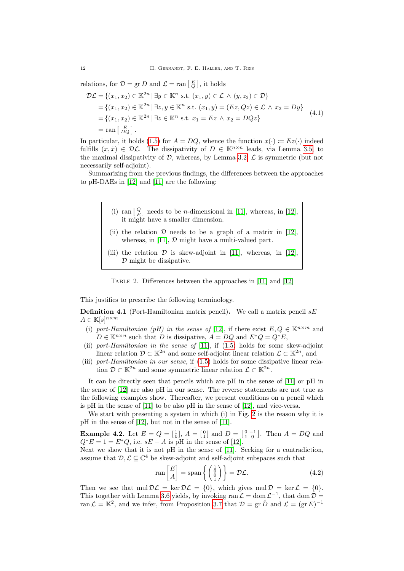relations, for  $D = \text{gr } D$  and  $\mathcal{L} = \text{ran} \left[ \frac{E}{Q} \right]$ , it holds

<span id="page-11-4"></span>
$$
\mathcal{DL} = \{ (x_1, x_2) \in \mathbb{K}^{2n} \mid \exists y \in \mathbb{K}^n \text{ s.t. } (x_1, y) \in \mathcal{L} \land (y, z_2) \in \mathcal{D} \}
$$
  
=  $\{ (x_1, x_2) \in \mathbb{K}^{2n} \mid \exists z, y \in \mathbb{K}^n \text{ s.t. } (x_1, y) = (Ez, Qz) \in \mathcal{L} \land x_2 = Dy \}$   
=  $\{ (x_1, x_2) \in \mathbb{K}^{2n} \mid \exists z \in \mathbb{K}^n \text{ s.t. } x_1 = Ez \land x_2 = DQz \}$   
=  $\text{ran} \begin{bmatrix} E \\ DQ \end{bmatrix}.$  (4.1)

In particular, it holds [\(1.5\)](#page-1-2) for  $A = DQ$ , whence the function  $x(\cdot) = Ez(\cdot)$  indeed fulfills  $(x, \dot{x}) \in \mathcal{DL}$ . The dissipativity of  $D \in \mathbb{K}^{n \times n}$  leads, via Lemma [3.5,](#page-7-1) to the maximal dissipativity of  $D$ , whereas, by Lemma [3.2,](#page-5-3)  $\mathcal{L}$  is symmetric (but not necessarily self-adjoint).

Summarizing from the previous findings, the differences between the approaches to pH-DAEs in [\[12\]](#page-28-1) and [\[11\]](#page-28-0) are the following:

- (i) ran  $\begin{bmatrix} Q \\ E \end{bmatrix}$  needs to be *n*-dimensional in [\[11\]](#page-28-0), whereas, in [\[12\]](#page-28-1), it might have a smaller dimension.
- (ii) the relation  $D$  needs to be a graph of a matrix in [\[12\]](#page-28-1), whereas, in [\[11\]](#page-28-0),  $D$  might have a multi-valued part.
- (iii) the relation  $\mathcal D$  is skew-adjoint in [\[11\]](#page-28-0), whereas, in [\[12\]](#page-28-1),  $\mathcal D$  might be dissipative.

<span id="page-11-1"></span>TABLE 2. Differences between the approaches in [\[11\]](#page-28-0) and [\[12\]](#page-28-1)

This justifies to prescribe the following terminology.

<span id="page-11-3"></span>**Definition 4.1** (Port-Hamiltonian matrix pencil). We call a matrix pencil  $sE A \in \mathbb{K}[s]^{n \times m}$ 

- (i) port-Hamiltonian (pH) in the sense of [\[12\]](#page-28-1), if there exist  $E, Q \in \mathbb{K}^{n \times m}$  and  $D \in \mathbb{K}^{n \times n}$  such that D is dissipative,  $A = DQ$  and  $E^*Q = Q^*E$ ,
- (ii) port-Hamiltonian in the sense of [\[11\]](#page-28-0), if [\(1.5\)](#page-1-2) holds for some skew-adjoint linear relation  $\mathcal{D} \subset \mathbb{K}^{2n}$  and some self-adjoint linear relation  $\mathcal{L} \subset \mathbb{K}^{2n}$ , and
- (iii) port-Hamiltonian in our sense, if [\(1.5\)](#page-1-2) holds for some dissipative linear relation  $\mathcal{D} \subset \mathbb{K}^{2n}$  and some symmetric linear relation  $\mathcal{L} \subset \mathbb{K}^{2n}$ .

It can be directly seen that pencils which are pH in the sense of [\[11\]](#page-28-0) or pH in the sense of [\[12\]](#page-28-1) are also pH in our sense. The reverse statements are not true as the following examples show. Thereafter, we present conditions on a pencil which is pH in the sense of [\[11\]](#page-28-0) to be also pH in the sense of [\[12\]](#page-28-1), and vice-versa.

We start with presenting a system in which (i) in Fig. [2](#page-11-1) is the reason why it is pH in the sense of [\[12\]](#page-28-1), but not in the sense of [\[11\]](#page-28-0).

<span id="page-11-0"></span>**Example 4.2.** Let  $E = Q = \begin{bmatrix} 1 \\ 0 \end{bmatrix}$ ,  $A = \begin{bmatrix} 0 \\ 1 \end{bmatrix}$  and  $D = \begin{bmatrix} 0 \\ 1 \end{bmatrix}$ . Then  $A = DQ$  and  $Q^*E = 1 = E^*Q$ , i.e.  $sE - A$  is pH in the sense of [\[12\]](#page-28-1).

Next we show that it is not pH in the sense of [\[11\]](#page-28-0). Seeking for a contradiction, assume that  $\mathcal{D}, \mathcal{L} \subseteq \mathbb{C}^4$  be skew-adjoint and self-adjoint subspaces such that

<span id="page-11-2"></span>
$$
\operatorname{ran}\begin{bmatrix} E \\ A \end{bmatrix} = \operatorname{span}\left\{ \begin{pmatrix} 1 \\ 0 \\ 0 \end{pmatrix} \right\} = \mathcal{DL}.\tag{4.2}
$$

Then we see that  $\text{mul }\mathcal{DL} = \text{ker }\mathcal{DL} = \{0\}$ , which gives  $\text{mul }\mathcal{D} = \text{ker }\mathcal{L} = \{0\}$ . This together with Lemma [3.6](#page-8-0) yields, by invoking ran  $\mathcal{L} = \text{dom }\mathcal{L}^{-1}$ , that dom  $\mathcal{D} =$ ran  $\mathcal{L} = \mathbb{K}^2$ , and we infer, from Proposition [3.7](#page-9-0) that  $\mathcal{D} = \text{gr } \hat{D}$  and  $\mathcal{L} = (\text{gr } E)^{-1}$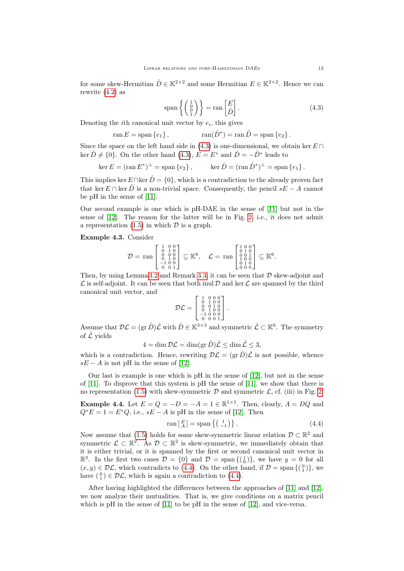for some skew-Hermitian  $\hat{D} \in \mathbb{K}^{2 \times 2}$  and some Hermitian  $E \in \mathbb{K}^{2 \times 2}$ . Hence we can rewrite [\(4.2\)](#page-11-2) as

<span id="page-12-2"></span>
$$
\text{span}\left\{ \begin{pmatrix} 1\\0\\0\\1 \end{pmatrix} \right\} = \text{ran}\begin{bmatrix} E\\ \hat{D} \end{bmatrix}.
$$
\n(4.3)

Denoting the *i*th canonical unit vector by  $e_i$ , this gives

$$
ran E = span \{e_1\}, \qquad \qquad \operatorname{ran}(\hat{D}^*) = \operatorname{ran} \hat{D} = span \{e_2\}.
$$

Since the space on the left hand side in [\(4.3\)](#page-12-2) is one-dimensional, we obtain ker  $E \cap$ ker  $\hat{D} \neq \{0\}$ . On the other hand [\(4.3\)](#page-12-2),  $E = E^*$  and  $\hat{D} = -\hat{D}^*$  leads to

$$
\ker E = (\operatorname{ran} E^*)^{\perp} = \operatorname{span} \{e_2\}, \qquad \ker \hat{D} = (\operatorname{ran} \hat{D}^*)^{\perp} = \operatorname{span} \{e_1\}.
$$

This implies ker  $E \cap \ker \hat{D} = \{0\}$ , which is a contradiction to the already proven fact that ker  $E \cap \ker \hat{D}$  is a non-trivial space. Consequently, the pencil  $sE - A$  cannot be pH in the sense of [\[11\]](#page-28-0).

Our second example is one which is pH-DAE in the sense of [\[11\]](#page-28-0) but not in the sense of [\[12\]](#page-28-1). The reason for the latter will be in Fig. [2,](#page-11-1) i.e., it does not admit a representation  $(1.5)$  in which  $\mathcal D$  is a graph.

<span id="page-12-0"></span>Example 4.3. Consider

$$
\mathcal{D} = \text{ ran}\begin{bmatrix} 1 & 0 & 0 \\ 0 & 1 & 0 \\ 0 & 0 & 0 \\ -1 & 0 & 0 \\ -1 & 0 & 0 \\ 0 & 0 & 1 \end{bmatrix} \subseteq \mathbb{K}^6, \quad \mathcal{L} = \text{ran}\begin{bmatrix} 1 & 0 & 0 \\ 0 & 1 & 0 \\ 0 & 0 & 1 \\ 1 & 0 & 0 \\ 0 & 1 & 0 \\ 0 & 0 & 0 \end{bmatrix} \subseteq \mathbb{K}^6.
$$

Then, by using Lemma [3.2](#page-5-3) and Remark [3.3,](#page-6-1) it can be seen that  $D$  skew-adjoint and  $\mathcal L$  is self-adjoint. It can be seen that both mul  $\mathcal D$  and ker  $\mathcal L$  are spanned by the third canonical unit vector, and

$$
\mathcal{DL} = \left[\begin{smallmatrix} 1 & 0 & 0 & 0 \\ 0 & 1 & 0 & 0 \\ 0 & 0 & 1 & 0 \\ 0 & 1 & 0 & 0 \\ -1 & 0 & 0 & 0 \\ 0 & 0 & 0 & 1 \end{smallmatrix}\right].
$$

Assume that  $\mathcal{DL} = (\text{gr }\hat{D})\hat{\mathcal{L}}$  with  $\hat{D} \in \mathbb{K}^{3 \times 3}$  and symmetric  $\hat{\mathcal{L}} \subset \mathbb{K}^6$ . The symmetry of  $\hat{\mathcal{L}}$  yields

$$
4 = \dim \mathcal{DL} = \dim(\text{gr}\,\hat{D})\hat{\mathcal{L}} \le \dim \hat{\mathcal{L}} \le 3,
$$

which is a contradiction. Hence, rewriting  $\mathcal{DL} = (\text{gr }\hat{D})\hat{\mathcal{L}}$  is not possible, whence  $sE - A$  is not pH in the sense of [\[12\]](#page-28-1).

Our last is example is one which is pH in the sense of [\[12\]](#page-28-1), but not in the sense of [\[11\]](#page-28-0). To disprove that this system is pH the sense of [\[11\]](#page-28-0), we show that there is no representation [\(1.5\)](#page-1-2) with skew-symmetric  $D$  and symmetric  $\mathcal{L}$ , cf. (iii) in Fig. [2.](#page-11-1)

<span id="page-12-1"></span>**Example 4.4.** Let  $E = Q = -D = -A = 1 \in \mathbb{R}^{1 \times 1}$ . Then, clearly,  $A = DQ$  and  $Q^*E = 1 = E^*Q$ , i.e.,  $sE - A$  is pH in the sense of [\[12\]](#page-28-1). Then

<span id="page-12-3"></span>
$$
\operatorname{ran}\left[\begin{array}{c}E\\A\end{array}\right] = \operatorname{span}\left\{\left(\begin{array}{c}1\\-1\end{array}\right)\right\}.\tag{4.4}
$$

Now assume that [\(1.5\)](#page-1-2) holds for some skew-symmetric linear relation  $\mathcal{D} \subset \mathbb{R}^2$  and symmetric  $\mathcal{L} \subset \mathbb{R}^2$ . As  $\mathcal{D} \subset \mathbb{R}^2$  is skew-symmetric, we immediately obtain that it is either trivial, or it is spanned by the first or second canonical unit vector in  $\mathbb{R}^2$ . In the first two cases  $\mathcal{D} = \{0\}$  and  $\mathcal{D} = \text{span}\{(\begin{smallmatrix}1\\0\end{smallmatrix})\}$ , we have  $y = 0$  for all  $(x, y) \in \mathcal{DL}$ , which contradicts to [\(4.4\)](#page-12-3). On the other hand, if  $\mathcal{D} = \text{span} \{ \begin{pmatrix} 0 \\ 1 \end{pmatrix} \}$ , we have  $\binom{0}{1} \in \mathcal{DL}$ , which is again a contradiction to [\(4.4\)](#page-12-3).

After having highlighted the differences between the approaches of [\[11\]](#page-28-0) and [\[12\]](#page-28-1), we now analyze their mutualities. That is, we give conditions on a matrix pencil which is pH in the sense of [\[11\]](#page-28-0) to be pH in the sense of [\[12\]](#page-28-1), and vice-versa.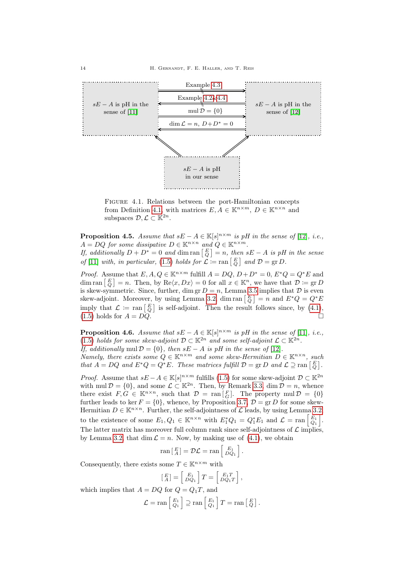

Figure 4.1. Relations between the port-Hamiltonian concepts from Definition [4.1,](#page-11-3) with matrices  $E, A \in \mathbb{K}^{n \times m}$ ,  $D \in \mathbb{K}^{n \times n}$  and subspaces  $\mathcal{D}, \mathcal{L} \subset \mathbb{K}^{2n}$ .

**Proposition 4.5.** Assume that  $sE - A \in \mathbb{K}[s]^{n \times m}$  is pH in the sense of [\[12\]](#page-28-1), i.e.,  $A = DQ$  for some dissipative  $D \in \mathbb{K}^{n \times n}$  and  $Q \in \mathbb{K}^{n \times m}$ . If, additionally  $D + D^* = 0$  and  $\dim \text{ran} \left[ \frac{E}{Q} \right] = n$ , then  $sE - A$  is pH in the sense

of [\[11\]](#page-28-0) with, in particular, [\(1.5\)](#page-1-2) holds for  $\mathcal{L} \coloneqq \text{ran} \begin{bmatrix} E \\ Q \end{bmatrix}$  and  $\mathcal{D} = \text{gr } D$ .

*Proof.* Assume that  $E, A, Q \in \mathbb{K}^{n \times m}$  fulfill  $A = DQ, D + D^* = 0, E^*Q = Q^*E$  and dim ran  $\begin{bmatrix} E \\ Q \end{bmatrix} = n$ . Then, by  $\text{Re}\langle x, Dx \rangle = 0$  for all  $x \in \mathbb{K}^n$ , we have that  $\mathcal{D} \coloneqq \text{gr } D$ is skew-symmetric. Since, further, dim gr  $D = n$ , Lemma [3.5](#page-7-1) implies that  $D$  is even skew-adjoint. Moreover, by using Lemma [3.2,](#page-5-3) dim ran  $\begin{bmatrix} E \\ Q \end{bmatrix} = n$  and  $E^*Q = Q^*E$ imply that  $\mathcal{L} := \text{ran} \begin{bmatrix} E \\ Q \end{bmatrix}$  is self-adjoint. Then the result follows since, by [\(4.1\)](#page-11-4),  $(1.5)$  holds for  $A = DQ$ .

**Proposition 4.6.** Assume that  $sE - A \in \mathbb{K}[s]^{n \times m}$  is pH in the sense of [\[11\]](#page-28-0), i.e., [\(1.5\)](#page-1-2) holds for some skew-adjoint  $\mathcal{D} \subset \mathbb{K}^{2n}$  and some self-adjoint  $\mathcal{L} \subset \mathbb{K}^{2n}$ . If, additionally mul  $\mathcal{D} = \{0\}$ , then sE – A is pH in the sense of [\[12\]](#page-28-1).

Namely, there exists some  $Q \in \mathbb{K}^{n \times m}$  and some skew-Hermitian  $D \in \mathbb{K}^{n \times n}$ , such that  $A = DQ$  and  $E^*Q = Q^*E$ . These matrices fulfill  $D = \text{gr } D$  and  $\mathcal{L} \supseteq \text{ran} \left[ \frac{E}{Q} \right]$ .

*Proof.* Assume that  $sE - A \in \mathbb{K}[s]^{n \times m}$  fulfills [\(1.5\)](#page-1-2) for some skew-adjoint  $\mathcal{D} \subset \mathbb{K}^{2n}$ with mul  $\mathcal{D} = \{0\}$ , and some  $\mathcal{L} \subset \mathbb{K}^{2n}$ . Then, by Remark [3.3,](#page-6-1) dim  $\mathcal{D} = n$ , whence there exist  $F, G \in \mathbb{K}^{n \times n}$ , such that  $\mathcal{D} = \text{ran} [F_G]$ . The property mul  $\mathcal{D} = \{0\}$ further leads to ker  $F = \{0\}$ , whence, by Proposition [3.7,](#page-9-0)  $\mathcal{D} = \text{gr } D$  for some skew-Hermitian  $D \in \mathbb{K}^{n \times n}$ . Further, the self-adjointness of  $\mathcal L$  leads, by using Lemma [3.2,](#page-5-3) to the existence of some  $E_1, Q_1 \in \mathbb{K}^{n \times n}$  with  $E_1^* Q_1 = Q_1^* E_1$  and  $\mathcal{L} = \text{ran} \begin{bmatrix} E_1 \\ Q_1 \end{bmatrix}$ . The latter matrix has moreover full column rank since self-adjointness of  $\mathcal L$  implies, by Lemma [3.2,](#page-5-3) that dim  $\mathcal{L} = n$ . Now, by making use of [\(4.1\)](#page-11-4), we obtain

$$
\operatorname{ran}\left[\begin{smallmatrix}E\\A\end{smallmatrix}\right]=\mathcal{DL}=\operatorname{ran}\left[\begin{smallmatrix}E_1\\DQ_1\end{smallmatrix}\right].
$$

Consequently, there exists some  $T \in \mathbb{K}^{n \times m}$  with

$$
\begin{bmatrix} E \\ A \end{bmatrix} = \begin{bmatrix} E_1 \\ DQ_1 \end{bmatrix} T = \begin{bmatrix} E_1 T \\ DQ_1 T \end{bmatrix},
$$

which implies that  $A = DQ$  for  $Q = Q_1T$ , and

 $\mathcal{L} = \text{ran}\left[\frac{E_1}{Q_1}\right] \supseteq \text{ran}\left[\frac{E_1}{Q_1}\right] T = \text{ran}\left[\frac{E}{Q}\right].$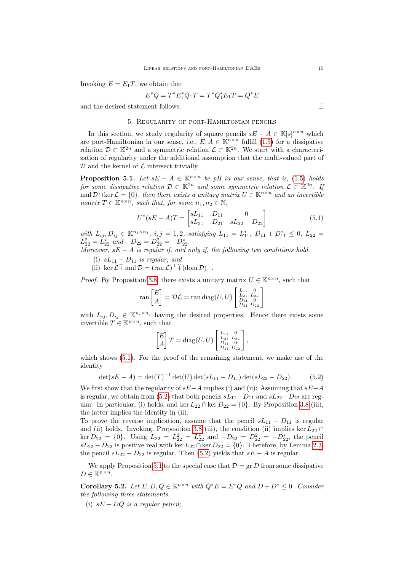Invoking  $E = E_1 T$ , we obtain that

$$
E^*Q = T^*E_1^*Q_1T = T^*Q_1^*E_1T = Q^*E
$$

<span id="page-14-0"></span>and the desired statement follows.  $\Box$ 

## 5. Regularity of port-Hamiltonian pencils

In this section, we study regularity of square pencils  $sE - A \in \mathbb{K}[s]^{n \times n}$  which are port-Hamiltonian in our sense, i.e.,  $E, A \in \mathbb{K}^{n \times n}$  fulfill [\(1.5\)](#page-1-2) for a dissipative relation  $\mathcal{D} \subset \mathbb{K}^{2n}$  and a symmetric relation  $\mathcal{L} \subset \mathbb{K}^{2n}$ . We start with a characterization of regularity under the additional assumption that the multi-valued part of  $D$  and the kernel of  $\mathcal L$  intersect trivially.

<span id="page-14-3"></span>**Proposition 5.1.** Let  $sE - A \in \mathbb{K}^{n \times n}$  be pH in our sense, that is, [\(1.5\)](#page-1-2) holds for some dissipative relation  $\mathcal{D} \subset \mathbb{K}^{2n}$  and some symmetric relation  $\mathcal{L} \subset \mathbb{K}^{2n}$ . If mul  $\mathcal{D} \cap \ker \mathcal{L} = \{0\}$ , then there exists a unitary matrix  $U \in \mathbb{K}^{n \times n}$  and an invertible matrix  $T \in \mathbb{K}^{n \times n}$ , such that, for some  $n_1, n_2 \in \mathbb{N}$ ,

$$
U^*(sE - A)T = \begin{bmatrix} sL_{11} - D_{11} & 0\\ sL_{21} - D_{21} & sL_{22} - D_{22} \end{bmatrix}
$$
(5.1)

,

with  $L_{ij}, D_{ij} \in \mathbb{K}^{n_i \times n_j}$ ,  $i, j = 1, 2$ , satisfying  $L_{11} = L_{11}^*$ ,  $D_{11} + D_{11}^* \leq 0$ ,  $L_{22} =$  $L_{22}^2 = L_{22}^*$  and  $-D_{22} = D_{22}^2 = -D_{22}^*$ .

Moreover,  $sE - A$  is regular if, and only if, the following two conditions hold.

- (i)  $sL_{11} D_{11}$  is regular, and
- (ii) ker  $\mathcal{L}$  + mul  $\mathcal{D} = (\text{ran }\mathcal{L})^{\perp}$  +  $(\text{dom }\mathcal{D})^{\perp}$ .

*Proof.* By Proposition [3.8,](#page-9-1) there exists a unitary matrix  $U \in \mathbb{K}^{n \times n}$ , such that

$$
\operatorname{ran}\begin{bmatrix} E \\ A \end{bmatrix} = \mathcal{DL} = \operatorname{ran} \operatorname{diag}(U, U) \begin{bmatrix} L_{11} & 0 \\ L_{21} & L_{22} \\ D_{11} & 0 \\ D_{21} & D_{22} \end{bmatrix}
$$

with  $L_{ij}, D_{ij} \in \mathbb{K}^{n_i \times n_j}$  having the desired properties. Hence there exists some invertible  $T \in \mathbb{K}^{n \times n}$ , such that

$$
\begin{bmatrix} E \\ A \end{bmatrix} T = \text{diag}(U, U) \begin{bmatrix} L_{11} & 0 \\ L_{21} & L_{22} \\ D_{11} & 0 \\ D_{21} & D_{22} \end{bmatrix}
$$

which shows  $(5.1)$ . For the proof of the remaining statement, we make use of the identity

<span id="page-14-2"></span>
$$
\det(sE - A) = \det(T)^{-1} \det(U) \det(sL_{11} - D_{11}) \det(sL_{22} - D_{22}).
$$
 (5.2)

We first show that the regularity of  $sE-A$  implies (i) and (ii): Assuming that  $sE-A$ is regular, we obtain from [\(5.2\)](#page-14-2) that both pencils  $sL_{11}-D_{11}$  and  $sL_{22}-D_{22}$  are regular. In particular, (i) holds, and ker  $L_{22} \cap \text{ker } D_{22} = \{0\}$ . By Proposition [3.8](#page-9-1) (iii), the latter implies the identity in (ii).

To prove the reverse implication, assume that the pencil  $sL_{11} - D_{11}$  is regular and (ii) holds. Invoking, Proposition [3.8](#page-9-1) (iii), the condition (ii) implies ker  $L_{22} \cap$ ker  $D_{22} = \{0\}$ . Using  $L_{22} = L_{22}^2 = L_{22}^*$  and  $-D_{22} = D_{22}^2 = -D_{22}^*$ , the pencil  $sL_{22} - D_{22}$  is positive real with ker  $L_{22} \cap \text{ker } D_{22} = \{0\}$ . Therefore, by Lemma [2.3,](#page-4-1) the pencil  $sL_{22} - D_{22}$  is regular. Then [\(5.2\)](#page-14-2) yields that  $sE - A$  is regular.  $□$ 

We apply Proposition [5.1](#page-14-3) to the special case that  $\mathcal{D} = \text{gr } D$  from some dissipative  $D \in \mathbb{K}^{n \times n}$ .

Corollary 5.2. Let E, D,  $Q \in \mathbb{K}^{n \times n}$  with  $Q^*E = E^*Q$  and  $D + D^* \leq 0$ . Consider the following three statements.

(i)  $sE - DQ$  is a regular pencil;

<span id="page-14-1"></span>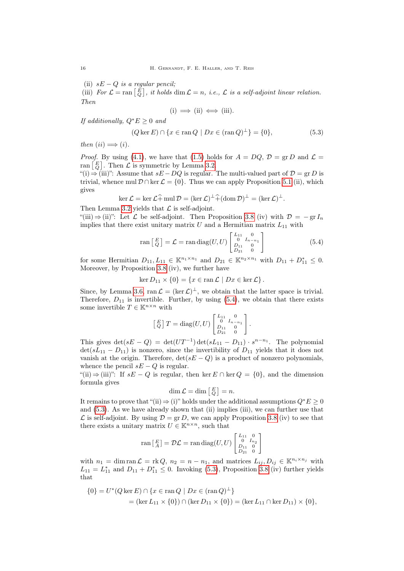(ii)  $sE - Q$  is a regular pencil;

(iii) For  $\mathcal{L} = \text{ran} \left[ \begin{matrix} E \\ Q \end{matrix} \right]$ , it holds  $\dim \mathcal{L} = n$ , i.e.,  $\mathcal{L}$  is a self-adjoint linear relation. Then

<span id="page-15-1"></span>
$$
(i) \implies (ii) \iff (iii).
$$

If additionally,  $Q^*E \geq 0$  and

$$
(Q \ker E) \cap \{x \in \operatorname{ran} Q \mid Dx \in (\operatorname{ran} Q)^{\perp}\} = \{0\},\tag{5.3}
$$

then  $(ii) \Longrightarrow (i)$ .

*Proof.* By using [\(4.1\)](#page-11-4), we have that [\(1.5\)](#page-1-2) holds for  $A = DQ$ ,  $D = \text{gr } D$  and  $\mathcal{L} =$ ran  $\begin{bmatrix} E \\ Q \end{bmatrix}$ . Then  $\mathcal L$  is symmetric by Lemma [3.2.](#page-5-3)

"(i)  $\Rightarrow$  (iii)": Assume that  $sE - DQ$  is regular. The multi-valued part of  $D = \text{gr } D$  is trivial, whence mul  $\mathcal{D} \cap \ker \mathcal{L} = \{0\}$ . Thus we can apply Proposition [5.1](#page-14-3) (ii), which gives

$$
\ker \mathcal{L} = \ker \mathcal{L} + \text{mul } \mathcal{D} = (\ker \mathcal{L})^{\perp} + (\text{dom } \mathcal{D})^{\perp} = (\ker \mathcal{L})^{\perp}.
$$

Then Lemma [3.2](#page-5-3) yields that  $\mathcal L$  is self-adjoint.

"(iii)  $\Rightarrow$  (ii)": Let L be self-adjoint. Then Proposition [3.8](#page-9-1) (iv) with  $\mathcal{D} = -\text{gr } I_n$ implies that there exist unitary matrix  $U$  and a Hermitian matrix  $L_{11}$  with

<span id="page-15-0"></span>
$$
\operatorname{ran}\left[\begin{array}{c} E \\ Q \end{array}\right] = \mathcal{L} = \operatorname{ran} \operatorname{diag}(U, U) \begin{bmatrix} L_{11} & 0 \\ 0 & I_{n-n_1} \\ D_{11} & 0 \\ D_{21} & 0 \end{bmatrix} \tag{5.4}
$$

for some Hermitian  $D_{11}, L_{11} \in \mathbb{K}^{n_1 \times n_1}$  and  $D_{21} \in \mathbb{K}^{n_2 \times n_1}$  with  $D_{11} + D_{11}^* \leq 0$ . Moreover, by Proposition [3.8](#page-9-1) (iv), we further have

$$
\ker D_{11} \times \{0\} = \{x \in \operatorname{ran} \mathcal{L} \mid Dx \in \ker \mathcal{L}\}.
$$

Since, by Lemma [3.6,](#page-8-0) ran  $\mathcal{L} = (\ker \mathcal{L})^{\perp}$ , we obtain that the latter space is trivial. Therefore,  $D_{11}$  is invertible. Further, by using  $(5.4)$ , we obtain that there exists some invertible  $T \in \mathbb{K}^{n \times n}$  with

$$
\begin{bmatrix} E \\ Q \end{bmatrix} T = \text{diag}(U, U) \begin{bmatrix} L_{11} & 0 \\ 0 & I_{n-n_1} \\ D_{11} & 0 \\ D_{21} & 0 \end{bmatrix}.
$$

This gives  $\det(sE - Q) = \det(UT^{-1}) \det(sL_{11} - D_{11}) \cdot s^{n-n_1}$ . The polynomial  $\det(sL_{11} - D_{11})$  is nonzero, since the invertibility of  $D_{11}$  yields that it does not vanish at the origin. Therefore,  $\det(sE - Q)$  is a product of nonzero polynomials, whence the pencil  $sE - Q$  is regular.

"(ii)  $\Rightarrow$  (iii)": If  $sE - Q$  is regular, then ker  $E \cap \text{ker } Q = \{0\}$ , and the dimension formula gives

$$
\dim \mathcal{L} = \dim \left[ \begin{smallmatrix} E \\ Q \end{smallmatrix} \right] = n.
$$

It remains to prove that "(ii)  $\Rightarrow$  (i)" holds under the additional assumptions  $Q^*E \geq 0$ and [\(5.3\)](#page-15-1). As we have already shown that (ii) implies (iii), we can further use that  $\mathcal L$  is self-adjoint. By using  $\mathcal D = \text{gr } D$ , we can apply Proposition [3.8](#page-9-1) (iv) to see that there exists a unitary matrix  $U \in \mathbb{K}^{n \times n}$ , such that

$$
\operatorname{ran} \left[ \begin{smallmatrix} E \\ A \end{smallmatrix} \right] = \mathcal{DL} = \operatorname{ran} \operatorname{diag}(U, U) \begin{bmatrix} L_{11} & 0 \\ 0 & I_{n_2} \\ D_{11} & 0 \\ D_{21} & 0 \end{bmatrix}
$$

with  $n_1 = \dim \operatorname{ran} \mathcal{L} = \text{rk } Q, n_2 = n - n_1$ , and matrices  $L_{ij}, D_{ij} \in \mathbb{K}^{n_i \times n_j}$  with  $L_{11} = L_{11}^{*}$  and  $D_{11} + D_{11}^{*} \leq 0$ . Invoking [\(5.3\)](#page-15-1), Proposition [3.8](#page-9-1) (iv) further yields that

$$
\{0\} = U^*(Q \ker E) \cap \{x \in \operatorname{ran} Q \mid Dx \in (\operatorname{ran} Q)^\perp\}
$$
  
=  $(\ker L_{11} \times \{0\}) \cap (\ker D_{11} \times \{0\}) = (\ker L_{11} \cap \ker D_{11}) \times \{0\},$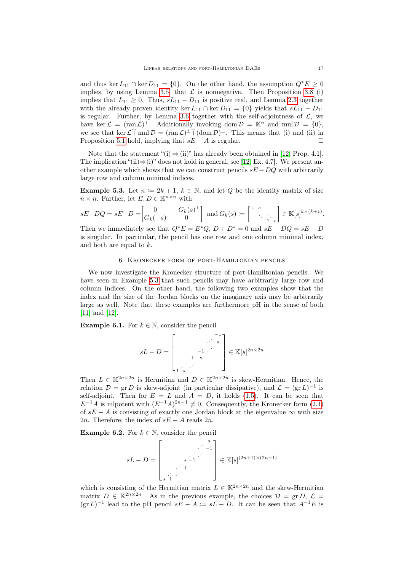and thus ker  $L_{11} \cap \text{ker } D_{11} = \{0\}$ . On the other hand, the assumption  $Q^*E \geq 0$ implies, by using Lemma [3.5,](#page-7-1) that  $\mathcal L$  is nonnegative. Then Proposition [3.8](#page-9-1) (i) implies that  $L_{11} \geq 0$ . Thus,  $sL_{11} - D_{11}$  is positive real, and Lemma [2.3](#page-4-1) together with the already proven identity ker  $L_{11} \cap \text{ker } D_{11} = \{0\}$  yields that  $sL_{11} - D_{11}$ is regular. Further, by Lemma [3.6](#page-8-0) together with the self-adjointness of  $\mathcal{L}$ , we have ker  $\mathcal{L} = (\text{ran }\mathcal{L})^{\perp}$ . Additionally invoking dom  $\mathcal{D} = \mathbb{K}^n$  and mul  $\mathcal{D} = \{0\}$ , we see that ker  $\mathcal{L}^{\frown}$  mul  $\mathcal{D} = (\text{ran }\mathcal{L})^{\perp} \hat{\uparrow} (\text{dom }\mathcal{D})^{\perp}$ . This means that (i) and (ii) in Proposition [5.1](#page-14-3) hold, implying that  $sE - A$  is regular.

Note that the statement "(i)  $\Rightarrow$  (ii)" has already been obtained in [\[12,](#page-28-1) Prop. 4.1]. The implication "(ii) $\Rightarrow$ (i)" does not hold in general, see [\[12,](#page-28-1) Ex. 4.7]. We present another example which shows that we can construct pencils  $sE - DQ$  with arbitrarily large row and column minimal indices.

<span id="page-16-1"></span>**Example 5.3.** Let  $n := 2k + 1$ ,  $k \in \mathbb{N}$ , and let Q be the identity matrix of size  $n \times n$ . Further, let  $E, D \in \mathbb{K}^{n \times n}$  with

$$
sE-DQ = sE-D = \begin{bmatrix} 0 & -G_k(s)^\top \\ G_k(-s) & 0 \end{bmatrix} \text{ and } G_k(s) := \begin{bmatrix} 1 & s \\ & \ddots & \\ & & 1 & s \end{bmatrix} \in \mathbb{K}[s]^{k \times (k+1)}.
$$

Then we immediately see that  $Q^*E = E^*Q$ ,  $D + D^* = 0$  and  $sE - DQ = sE - D$ is singular. In particular, the pencil has one row and one column minimal index, and both are equal to k.

#### 6. Kronecker form of port-Hamiltonian pencils

<span id="page-16-0"></span>We now investigate the Kronecker structure of port-Hamiltonian pencils. We have seen in Example [5.3](#page-16-1) that such pencils may have arbitrarily large row and column indices. On the other hand, the following two examples show that the index and the size of the Jordan blocks on the imaginary axis may be arbitrarily large as well. Note that these examples are furthermore pH in the sense of both [\[11\]](#page-28-0) and [\[12\]](#page-28-1).

**Example 6.1.** For  $k \in \mathbb{N}$ , consider the pencil

$$
sL - D = \begin{bmatrix} & & & & -1 \\ & & \ddots & & \\ & & -1 & \ddots & \\ & & & 1 & s \\ & & & & \end{bmatrix} \in \mathbb{K}[s]^{2n \times 2n}
$$

Then  $L \in \mathbb{K}^{2n \times 2n}$  is Hermitian and  $D \in \mathbb{K}^{2n \times 2n}$  is skew-Hermitian. Hence, the relation  $\mathcal{D} = \text{gr } D$  is skew-adjoint (in particular dissipative), and  $\mathcal{L} = (\text{gr } L)^{-1}$  is self-adjoint. Then for  $E = L$  and  $A = D$ , it holds [\(1.5\)](#page-1-2). It can be seen that  $E^{-1}A$  is nilpotent with  $(E^{-1}A)^{2n-1} \neq 0$ . Consequently, the Kronecker form [\(2.1\)](#page-3-0) of  $sE - A$  is consisting of exactly one Jordan block at the eigenvalue  $\infty$  with size 2n. Therefore, the index of  $sE - A$  reads 2n.

**Example 6.2.** For  $k \in \mathbb{N}$ , consider the pencil

$$
sL - D = \begin{bmatrix} s \\ s-1 \\ \vdots \\ s-1 \end{bmatrix} \in \mathbb{K}[s]^{(2n+1)\times(2n+1)}
$$

which is consisting of the Hermitian matrix  $L \in \mathbb{K}^{2n \times 2n}$  and the skew-Hermitian matrix  $D \in \mathbb{K}^{2n \times 2n}$ . As in the previous example, the choices  $\mathcal{D} = \text{gr } D, \mathcal{L} =$  $(\text{gr } L)^{-1}$  lead to the pH pencil  $sE - A \coloneqq sL - D$ . It can be seen that  $A^{-1}E$  is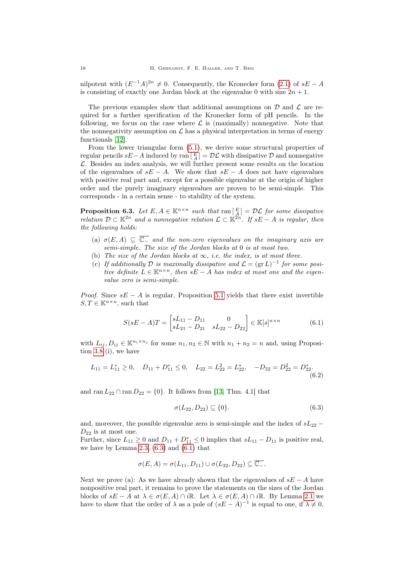nilpotent with  $(E^{-1}A)^{2n} \neq 0$ . Consequently, the Kronecker form [\(2.1\)](#page-3-0) of  $sE - A$ is consisting of exactly one Jordan block at the eigenvalue 0 with size  $2n + 1$ .

The previous examples show that additional assumptions on  $\mathcal D$  and  $\mathcal L$  are required for a further specification of the Kronecker form of pH pencils. In the following, we focus on the case where  $\mathcal L$  is (maximally) nonnegative. Note that the nonnegativity assumption on  $\mathcal L$  has a physical interpretation in terms of energy functionals [\[12\]](#page-28-1).

From the lower triangular form [\(5.1\)](#page-14-1), we derive some structural properties of regular pencils  $sE-A$  induced by ran  $\lfloor E \rfloor = D\mathcal{L}$  with dissipative  $D$  and nonnegative  $\mathcal{L}$ . Besides an index analysis, we will further present some results on the location of the eigenvalues of  $sE - A$ . We show that  $sE - A$  does not have eigenvalues with positive real part and, except for a possible eigenvalue at the origin of higher order and the purely imaginary eigenvalues are proven to be semi-simple. This corresponds - in a certain sense - to stability of the system.

<span id="page-17-2"></span>**Proposition 6.3.** Let  $E, A \in \mathbb{K}^{n \times n}$  such that  $\text{ran} \begin{bmatrix} E \\ A \end{bmatrix} = \mathcal{DL}$  for some dissipative relation  $\mathcal{D} \subset \mathbb{K}^{2n}$  and a nonnegative relation  $\mathcal{L} \subset \mathbb{K}^{2n}$ . If  $sE - A$  is regular, then the following holds:

- (a)  $\sigma(E, A) \subseteq \overline{\mathbb{C}_{-}}$  and the non-zero eigenvalues on the imaginary axis are semi-simple. The size of the Jordan blocks at 0 is at most two.
- (b) The size of the Jordan blocks at  $\infty$ , i.e. the index, is at most three.
- (c) If additionally D is maximally dissipative and  $\mathcal{L} = (\text{gr } L)^{-1}$  for some positive definite  $L \in \mathbb{K}^{n \times n}$ , then  $sE - A$  has index at most one and the eigenvalue zero is semi-simple.

*Proof.* Since  $sE - A$  is regular, Proposition [5.1](#page-14-3) yields that there exist invertible  $S, T \in \mathbb{K}^{n \times n}$ , such that

$$
S(sE - A)T = \begin{bmatrix} sL_{11} - D_{11} & 0 \\ sL_{21} - D_{21} & sL_{22} - D_{22} \end{bmatrix} \in \mathbb{K}[s]^{n \times n}
$$
(6.1)

with  $L_{ij}, D_{ij} \in \mathbb{K}^{n_i \times n_j}$  for some  $n_1, n_2 \in \mathbb{N}$  with  $n_1 + n_2 = n$  and, using Proposition [3.8](#page-9-1) (i), we have

$$
L_{11} = L_{11}^* \ge 0, \quad D_{11} + D_{11}^* \le 0, \quad L_{22} = L_{22}^2 = L_{22}^*, \quad -D_{22} = D_{22}^2 = D_{22}^*.
$$
\n
$$
(6.2)
$$

and ran  $L_{22} \cap$  ran  $D_{22} = \{0\}$ . It follows from [\[13,](#page-28-14) Thm. 4.1] that

<span id="page-17-1"></span><span id="page-17-0"></span>
$$
\sigma(L_{22}, D_{22}) \subseteq \{0\}.\tag{6.3}
$$

and, moreover, the possible eigenvalue zero is semi-simple and the index of  $sL_{22}$  −  $D_{22}$  is at most one.

Further, since  $L_{11} \geq 0$  and  $D_{11} + D_{11}^* \leq 0$  implies that  $sL_{11} - D_{11}$  is positive real, we have by Lemma [2.3,](#page-4-1)  $(6.3)$  and  $(6.1)$  that

$$
\sigma(E, A) = \sigma(L_{11}, D_{11}) \cup \sigma(L_{22}, D_{22}) \subseteq \overline{\mathbb{C}_-}.
$$

Next we prove (a): As we have already shown that the eigenvalues of  $sE - A$  have nonpositive real part, it remains to prove the statements on the sizes of the Jordan blocks of  $sE - A$  at  $\lambda \in \sigma(E, A) \cap i\mathbb{R}$ . Let  $\lambda \in \sigma(E, A) \cap i\mathbb{R}$ . By Lemma [2.1](#page-4-2) we have to show that the order of  $\lambda$  as a pole of  $(sE - A)^{-1}$  is equal to one, if  $\lambda \neq 0$ ,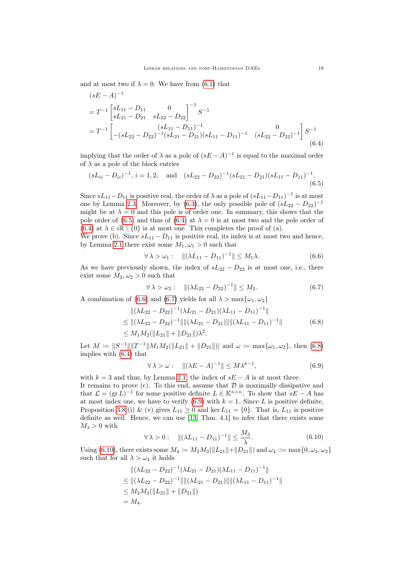and at most two if  $\lambda = 0$ . We have from [\(6.1\)](#page-17-1) that

$$
(sE - A)^{-1}
$$
  
=  $T^{-1} \begin{bmatrix} sL_{11} - D_{11} & 0 \\ sL_{21} - D_{21} & sL_{22} - D_{22} \end{bmatrix}^{-1} S^{-1}$   
=  $T^{-1} \begin{bmatrix} (sL_{11} - D_{11})^{-1} & 0 \\ -(sL_{22} - D_{22})^{-1} (sL_{21} - D_{21}) (sL_{11} - D_{11})^{-1} & (sL_{22} - D_{22})^{-1} \end{bmatrix} S^{-1}$  (6.4)

implying that the order of  $\lambda$  as a pole of  $(sE-A)^{-1}$  is equal to the maximal order of  $\lambda$  as a pole of the block entries

$$
(sL_{ii} - D_{ii})^{-1}
$$
,  $i = 1, 2$ , and  $(sL_{22} - D_{22})^{-1}(sL_{21} - D_{21})(sL_{11} - D_{11})^{-1}$ . (6.5)

Since  $sL_{11}-D_{11}$  is positive real, the order of  $\lambda$  as a pole of  $(sL_{11}-D_{11})^{-1}$  is at most one by Lemma [2.3.](#page-4-1) Moreover, by [\(6.3\)](#page-17-0), the only possible pole of  $(sL_{22} - D_{22})^{-1}$ might be at  $\lambda = 0$  and this pole is of order one. In summary, this shows that the pole order of [\(6.5\)](#page-18-0) and thus of [\(6.4\)](#page-18-1) at  $\lambda = 0$  is at most two and the pole order of  $(6.4)$  at  $\lambda \in i\mathbb{R} \setminus \{0\}$  is at most one. This completes the proof of (a).

We prove (b). Since  $sL_{11} - D_{11}$  is positive real, its index is at most two and hence, by Lemma [2.1](#page-4-2) there exist some  $M_1, \omega_1 > 0$  such that

<span id="page-18-2"></span><span id="page-18-1"></span><span id="page-18-0"></span>
$$
\forall \lambda > \omega_1: \quad \|(\lambda L_{11} - D_{11})^{-1}\| \le M_1 \lambda. \tag{6.6}
$$

As we have previously shown, the index of  $sL_{22} - D_{22}$  is at most one, i.e., there exist some  $M_2, \omega_2 > 0$  such that

<span id="page-18-4"></span><span id="page-18-3"></span>
$$
\forall \lambda > \omega_2: \quad \|(\lambda L_{22} - D_{22})^{-1}\| \le M_2. \tag{6.7}
$$

A combination of [\(6.6\)](#page-18-2) and [\(6.7\)](#page-18-3) yields for all  $\lambda > \max{\{\omega_1, \omega_2\}}$ 

$$
\|(\lambda L_{22} - D_{22})^{-1}(\lambda L_{21} - D_{21})(\lambda L_{11} - D_{11})^{-1}\|
$$
  
\n
$$
\leq \|(\lambda L_{22} - D_{22})^{-1}\| \|\langle \lambda L_{21} - D_{21}\rangle\| \|\langle \lambda L_{11} - D_{11}\rangle^{-1}\|
$$
  
\n
$$
\leq M_1 M_2 (\|L_{21}\| + \|D_{21}\|)\lambda^2.
$$
\n(6.8)

Let  $M := ||S^{-1}|| ||T^{-1}|| M_1 M_2(||L_{21}|| + ||D_{21}||)$  and  $\omega := \max{\{\omega_1, \omega_2\}}$ , then [\(6.8\)](#page-18-4) implies with [\(6.4\)](#page-18-1) that

<span id="page-18-5"></span>
$$
\forall \lambda > \omega : \quad \|(\lambda E - A)^{-1}\| \le M\lambda^{k-1},\tag{6.9}
$$

with  $k = 3$  and thus, by Lemma [2.1,](#page-4-2) the index of  $sE - A$  is at most three.

It remains to prove  $(c)$ . To this end, assume that  $D$  is maximally dissipative and that  $\mathcal{L} = (\text{gr } L)^{-1}$  for some positive definite  $L \in \mathbb{K}^{n \times n}$ . To show that  $sE - A$  has at most index one, we have to verify  $(6.9)$  with  $k = 1$ . Since L is positive definite, Proposition [3.8](#page-9-1) (i) & (v) gives  $L_{11} \ge 0$  and ker  $L_{11} = \{0\}$ . That is,  $L_{11}$  is positive definite as well. Hence, we can use [\[13,](#page-28-14) Thm. 4.1] to infer that there exists some  $M_3 > 0$  with

<span id="page-18-6"></span>
$$
\forall \lambda > 0: \quad \|(\lambda L_{11} - D_{11})^{-1}\| \le \frac{M_3}{\lambda}.\tag{6.10}
$$

Using [\(6.10\)](#page-18-6), there exists some  $M_4 := M_2 M_3(||L_{21}||+||D_{21}||)$  and  $\omega_4 := \max\{0, \omega_3, \omega_2\}$ such that for all  $\lambda > \omega_4$  it holds

$$
\begin{aligned} &\|(\lambda L_{22} - D_{22})^{-1}(\lambda L_{21} - D_{21})(\lambda L_{11} - D_{11})^{-1}\| \\ &\leq \|(\lambda L_{22} - D_{22})^{-1}\| \|\langle \lambda L_{21} - D_{21})\| \|(\lambda L_{11} - D_{11})^{-1}\| \\ &\leq M_2 M_3(\|L_{21}\| + \|D_{21}\|) \\ &= M_4. \end{aligned}
$$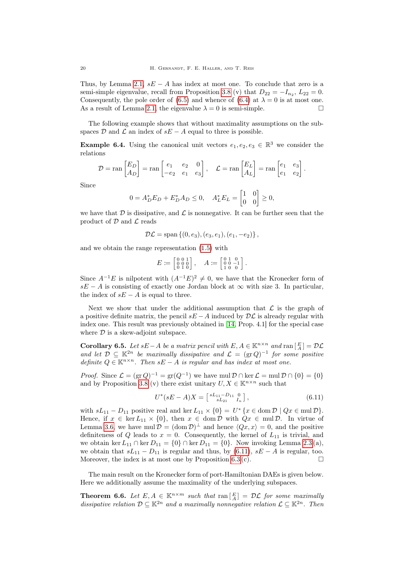Thus, by Lemma [2.1,](#page-4-2)  $sE - A$  has index at most one. To conclude that zero is a semi-simple eigenvalue, recall from Proposition [3.8](#page-9-1) (v) that  $D_{22} = -I_{n_2}, L_{22} = 0$ . Consequently, the pole order of [\(6.5\)](#page-18-0) and whence of [\(6.4\)](#page-18-1) at  $\lambda = 0$  is at most one. As a result of Lemma [2.1,](#page-4-2) the eigenvalue  $\lambda = 0$  is semi-simple.

The following example shows that without maximality assumptions on the subspaces  $\mathcal D$  and  $\mathcal L$  an index of  $sE - A$  equal to three is possible.

**Example 6.4.** Using the canonical unit vectors  $e_1, e_2, e_3 \in \mathbb{R}^3$  we consider the relations

$$
\mathcal{D} = \text{ran}\begin{bmatrix} E_D \\ A_D \end{bmatrix} = \text{ran}\begin{bmatrix} e_1 & e_2 & 0 \\ -e_2 & e_1 & e_3 \end{bmatrix}, \quad \mathcal{L} = \text{ran}\begin{bmatrix} E_L \\ A_L \end{bmatrix} = \text{ran}\begin{bmatrix} e_1 & e_3 \\ e_1 & e_2 \end{bmatrix}.
$$

Since

$$
0 = A_D^* E_D + E_D^* A_D \le 0, \quad A_L^* E_L = \begin{bmatrix} 1 & 0 \\ 0 & 0 \end{bmatrix} \ge 0,
$$

we have that  $D$  is dissipative, and  $\mathcal L$  is nonnegative. It can be further seen that the product of  $D$  and  $\mathcal L$  reads

$$
\mathcal{DL} = \text{span} \left\{ (0, e_3), (e_3, e_1), (e_1, -e_2) \right\},\,
$$

and we obtain the range representation [\(1.5\)](#page-1-2) with

$$
E := \begin{bmatrix} 0 & 0 & 1 \\ 0 & 0 & 0 \\ 0 & 1 & 0 \end{bmatrix}, \quad A := \begin{bmatrix} 0 & 1 & 0 \\ 0 & 0 & -1 \\ 1 & 0 & 0 \end{bmatrix}.
$$

Since  $A^{-1}E$  is nilpotent with  $(A^{-1}E)^2 \neq 0$ , we have that the Kronecker form of  $sE - A$  is consisting of exactly one Jordan block at  $\infty$  with size 3. In particular, the index of  $sE - A$  is equal to three.

Next we show that under the additional assumption that  $\mathcal L$  is the graph of a positive definite matrix, the pencil  $sE - A$  induced by  $\mathcal{DL}$  is already regular with index one. This result was previously obtained in [\[14,](#page-28-4) Prop. 4.1] for the special case where  $\mathcal D$  is a skew-adjoint subspace.

<span id="page-19-0"></span>Corollary 6.5. Let  $sE-A$  be a matrix pencil with  $E, A \in \mathbb{K}^{n \times n}$  and  $\text{ran} [E] = \mathcal{DL}$ and let  $\mathcal{D} \subseteq \mathbb{K}^{2n}$  be maximally dissipative and  $\mathcal{L} = (\text{gr } Q)^{-1}$  for some positive definite  $Q \in \mathbb{K}^{n \times n}$ . Then  $sE - A$  is regular and has index at most one.

*Proof.* Since  $\mathcal{L} = (\text{gr } Q)^{-1} = \text{gr}(Q^{-1})$  we have mul  $\mathcal{D} \cap \text{ker } \mathcal{L} = \text{mul } \mathcal{D} \cap \{0\} = \{0\}$ and by Proposition [3.8](#page-9-1) (v) there exist unitary  $U, X \in \mathbb{K}^{n \times n}$  such that

<span id="page-19-2"></span>
$$
U^*(sE - A)X = \begin{bmatrix} sL_{11} - D_{11} & 0 \\ sL_{21} & I_n \end{bmatrix},
$$
\n(6.11)

with  $sL_{11} - D_{11}$  positive real and ker  $L_{11} \times \{0\} = U^* \{x \in \text{dom } \mathcal{D} \mid Qx \in \text{mul } \mathcal{D}\}.$ Hence, if  $x \in \text{ker } L_{11} \times \{0\}$ , then  $x \in \text{dom } \mathcal{D}$  with  $Qx \in \text{mul } \mathcal{D}$ . In virtue of Lemma [3.6,](#page-8-0) we have mul  $\mathcal{D} = (\text{dom }\mathcal{D})^{\perp}$  and hence  $\langle Qx, x \rangle = 0$ , and the positive definiteness of Q leads to  $x = 0$ . Consequently, the kernel of  $L_{11}$  is trivial, and we obtain ker  $L_{11} \cap \text{ker } D_{11} = \{0\} \cap \text{ker } D_{11} = \{0\}$ . Now invoking Lemma [2.3](#page-4-1)(a), we obtain that  $sL_{11} - D_{11}$  is regular and thus, by [\(6.11\)](#page-19-2),  $sE - A$  is regular, too. Moreover, the index is at most one by Proposition [6.3](#page-17-2) (c).  $\Box$ 

The main result on the Kronecker form of port-Hamiltonian DAEs is given below. Here we additionally assume the maximality of the underlying subspaces.

<span id="page-19-1"></span>**Theorem 6.6.** Let  $E, A \in \mathbb{K}^{n \times m}$  such that  $\text{ran} \begin{bmatrix} E \\ A \end{bmatrix} = \mathcal{DL}$  for some maximally dissipative relation  $\mathcal{D} \subseteq \mathbb{K}^{2n}$  and a maximally nonnegative relation  $\mathcal{L} \subseteq \mathbb{K}^{2n}$ . Then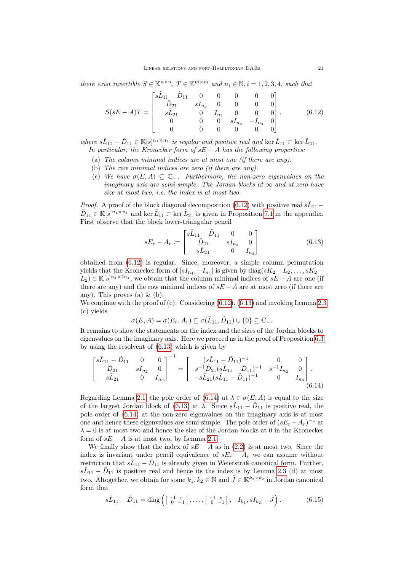there exist invertible  $S \in \mathbb{K}^{n \times n}$ ,  $T \in \mathbb{K}^{m \times m}$  and  $n_i \in \mathbb{N}$ ,  $i = 1, 2, 3, 4$ , such that

<span id="page-20-0"></span>
$$
S(sE-A)T = \begin{bmatrix} s\tilde{L}_{11} - \tilde{D}_{11} & 0 & 0 & 0 & 0 & 0\\ \tilde{D}_{21} & sI_{n_2} & 0 & 0 & 0 & 0\\ s\tilde{L}_{21} & 0 & I_{n_3} & 0 & 0 & 0\\ 0 & 0 & 0 & sI_{n_4} & -I_{n_4} & 0\\ 0 & 0 & 0 & 0 & 0 & 0 \end{bmatrix},
$$
(6.12)

where  $s\tilde{L}_{11} - \tilde{D}_{11} \in K[s]^{n_1 \times n_1}$  is regular and positive real and ker  $\tilde{L}_{11} \subset \text{ker } \tilde{L}_{21}$ . In particular, the Kronecker form of  $sE - A$  has the following properties:

- (a) The column minimal indices are at most one (if there are any).
- (b) The row minimal indices are zero (if there are any).
- (c) We have  $\sigma(E, A) \subseteq \overline{\mathbb{C}_-}$ . Furthermore, the non-zero eigenvalues on the imaginary axis are semi-simple. The Jordan blocks at  $\infty$  and at zero have size at most two, i.e. the index is at most two.

*Proof.* A proof of the block diagonal decomposition [\(6.12\)](#page-20-0) with positive real  $s\tilde{L}_{11}$  –  $\tilde{D}_{11} \in \mathbb{K}[s]^{n_1 \times n_1}$  and ker  $\tilde{L}_{11} \subset \ker \tilde{L}_{21}$  is given in Proposition [7.1](#page-25-0) in the appendix. First observe that the block lower-triangular pencil

<span id="page-20-1"></span>
$$
sE_r - A_r := \begin{bmatrix} s\tilde{L}_{11} - \tilde{D}_{11} & 0 & 0\\ \tilde{D}_{21} & sI_{n_2} & 0\\ s\tilde{L}_{21} & 0 & I_{n_3} \end{bmatrix}
$$
(6.13)

obtained from [\(6.12\)](#page-20-0) is regular. Since, moreover, a simple column permutation yields that the Kronecker form of  $[sI_{n_4}, -I_{n_4}]$  is given by  $diag(sK_2 - L_2, \ldots, sK_2 L_2$ )  $\in \mathbb{K}[s]^{n_4 \times 2n_4}$ , we obtain that the column minimal indices of  $sE-A$  are one (if there are any) and the row minimal indices of  $sE - A$  are at most zero (if there are any). This proves (a) & (b).

We continue with the proof of  $(c)$ . Considering  $(6.12)$ ,  $(6.13)$  and invoking Lemma [2.3](#page-4-1) (c) yields

<span id="page-20-2"></span>
$$
\sigma(E, A) = \sigma(E_r, A_r) \subseteq \sigma(\tilde{L}_{11}, \tilde{D}_{11}) \cup \{0\} \subseteq \overline{\mathbb{C}_-}.
$$

It remains to show the statements on the index and the sizes of the Jordan blocks to eigenvalues on the imaginary axis. Here we proceed as in the proof of Proposition [6.3](#page-17-2) by using the resolvent of [\(6.13\)](#page-20-1) which is given by

$$
\begin{bmatrix} s\tilde{L}_{11} - \tilde{D}_{11} & 0 & 0 \ \tilde{D}_{21} & sI_{n_2} & 0 \ s\tilde{L}_{21} & 0 & I_{n_3} \end{bmatrix}^{-1} = \begin{bmatrix} (s\tilde{L}_{11} - \tilde{D}_{11})^{-1} & 0 & 0 \ -s^{-1}\tilde{D}_{21}(s\tilde{L}_{11} - \tilde{D}_{11})^{-1} & s^{-1}I_{n_2} & 0 \ -s\tilde{L}_{21}(s\tilde{L}_{11} - \tilde{D}_{11})^{-1} & 0 & I_{n_3} \end{bmatrix}.
$$
\n(6.14)

Regarding Lemma [2.1,](#page-4-2) the pole order of [\(6.14\)](#page-20-2) at  $\lambda \in \sigma(E, A)$  is equal to the size of the largest Jordan block of [\(6.13\)](#page-20-1) at  $\lambda$ . Since  $s\tilde{L}_{11} - \tilde{D}_{11}$  is positive real, the pole order of [\(6.14\)](#page-20-2) at the non-zero eigenvalues on the imaginary axis is at most one and hence these eigenvalues are semi-simple. The pole order of  $(sE_r - A_r)^{-1}$  at  $\lambda = 0$  is at most two and hence the size of the Jordan blocks at 0 in the Kronecker form of  $sE - A$  is at most two, by Lemma [2.1.](#page-4-2)

We finally show that the index of  $sE - A$  as in [\(2.2\)](#page-3-1) is at most two. Since the index is invariant under pencil equivalence of  $sE_r - A_r$  we can assume without restriction that  $s\tilde{L}_{11} - \tilde{D}_{11}$  is already given in Weierstraß canonical form. Further,  $s\tilde{L}_{11} - \tilde{D}_{11}$  is positive real and hence its the index is by Lemma [2.3](#page-4-1) (d) at most two. Altogether, we obtain for some  $k_1, k_2 \in \mathbb{N}$  and  $\tilde{J} \in \mathbb{K}^{k_2 \times k_2}$  in Jordan canonical form that

<span id="page-20-3"></span>
$$
s\tilde{L}_{11} - \tilde{D}_{11} = \text{diag}\left(\begin{bmatrix} -1 & s \\ 0 & -1 \end{bmatrix}, \dots, \begin{bmatrix} -1 & s \\ 0 & -1 \end{bmatrix}, -I_{k_1}, sI_{k_2} - \tilde{J}\right). \tag{6.15}
$$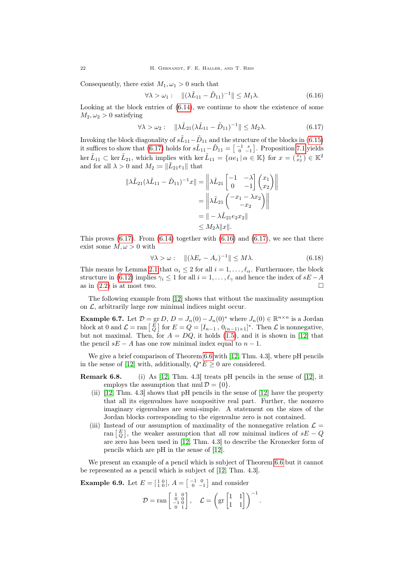Consequently, there exist  $M_1, \omega_1 > 0$  such that

<span id="page-21-2"></span><span id="page-21-1"></span>
$$
\forall \lambda > \omega_1: \quad \|(\lambda \tilde{L}_{11} - \tilde{D}_{11})^{-1}\| \le M_1 \lambda. \tag{6.16}
$$

Looking at the block entries of  $(6.14)$ , we continue to show the existence of some  $M_2, \omega_2 > 0$  satisfying

$$
\forall \lambda > \omega_2: \quad \|\lambda \tilde{L}_{21}(\lambda \tilde{L}_{11} - \tilde{D}_{11})^{-1}\| \le M_2 \lambda. \tag{6.17}
$$

Invoking the block diagonality of  $s\tilde{L}_{11}-\tilde{D}_{11}$  and the structure of the blocks in  $(6.15)$ it suffices to show that [\(6.17\)](#page-21-1) holds for  $s\tilde{L}_{11}-\tilde{D}_{11} = \begin{bmatrix} -1 & s \\ 0 & -1 \end{bmatrix}$ . Proposition [7.1](#page-25-0) yields  $\ker \tilde{L}_{11} \subset \ker \tilde{L}_{21}$ , which implies with  $\ker \tilde{L}_{11} = \{ \alpha e_1 \, | \, \alpha \in \mathbb{K} \}$  for  $x = \begin{pmatrix} x_1 \\ x_2 \end{pmatrix} \in \mathbb{K}^2$ and for all  $\lambda > 0$  and  $M_2 \coloneqq \|\tilde{L}_{21}e_1\|$  that

$$
\begin{aligned} \|\lambda \tilde{L}_{21}(\lambda \tilde{L}_{11} - \tilde{D}_{11})^{-1}x\| &= \left\|\lambda \tilde{L}_{21} \begin{bmatrix} -1 & -\lambda \\ 0 & -1 \end{bmatrix} \begin{pmatrix} x_1 \\ x_2 \end{pmatrix} \right\| \\ &= \left\|\lambda \tilde{L}_{21} \begin{pmatrix} -x_1 - \lambda x_2 \\ -x_2 \end{pmatrix} \right\| \\ &= \left\| -\lambda \tilde{L}_{21}e_2x_2 \right\| \\ &\le M_2 \lambda \|x\|. \end{aligned}
$$

This proves  $(6.17)$ . From  $(6.14)$  together with  $(6.16)$  and  $(6.17)$ , we see that there exist some  $M, \omega > 0$  with

$$
\forall \lambda > \omega : \quad \|(\lambda E_r - A_r)^{-1}\| \le M\lambda. \tag{6.18}
$$

This means by Lemma [2.1](#page-4-2) that  $\alpha_i \leq 2$  for all  $i = 1, \ldots, \ell_{\alpha}$ . Furthermore, the block structure in [\(6.12\)](#page-20-0) implies  $\gamma_i \leq 1$  for all  $i = 1, \ldots, \ell_{\gamma}$  and hence the index of  $sE - A$ as in  $(2.2)$  is at most two.

The following example from [\[12\]](#page-28-1) shows that without the maximality assumption on  $\mathcal{L}$ , arbitrarily large row minimal indices might occur.

<span id="page-21-0"></span>**Example 6.7.** Let  $\mathcal{D} = \text{gr } D$ ,  $D = J_n(0) - J_n(0)^*$  where  $J_n(0) \in \mathbb{R}^{n \times n}$  is a Jordan block at 0 and  $\mathcal{L} = \text{ran} \begin{bmatrix} E \\ Q \end{bmatrix}$  for  $E = Q = [I_{n-1}, 0_{(n-1)\times1}]^*$ . Then  $\mathcal{L}$  is nonnegative, but not maximal. Then, for  $A = DQ$ , it holds [\(1.5\)](#page-1-2), and it is shown in [\[12\]](#page-28-1) that the pencil  $sE - A$  has one row minimal index equal to  $n - 1$ .

We give a brief comparison of Theorem [6.6](#page-19-1) with [\[12,](#page-28-1) Thm. 4.3], where pH pencils in the sense of [\[12\]](#page-28-1) with, additionally,  $Q^*E \geq 0$  are considered.

- Remark 6.8. (i) As [\[12,](#page-28-1) Thm. 4.3] treats pH pencils in the sense of [\[12\]](#page-28-1), it employs the assumption that  $mul \mathcal{D} = \{0\}.$ 
	- (ii) [\[12,](#page-28-1) Thm. 4.3] shows that pH pencils in the sense of [\[12\]](#page-28-1) have the property that all its eigenvalues have nonpositive real part. Further, the nonzero imaginary eigenvalues are semi-simple. A statement on the sizes of the Jordan blocks corresponding to the eigenvalue zero is not contained.
	- (iii) Instead of our assumption of maximality of the nonnegative relation  $\mathcal{L} =$ ran  $\begin{bmatrix} E \\ Q \end{bmatrix}$ , the weaker assumption that all row minimal indices of  $sE - Q$ are zero has been used in [\[12,](#page-28-1) Thm. 4.3] to describe the Kronecker form of pencils which are pH in the sense of [\[12\]](#page-28-1).

We present an example of a pencil which is subject of Theorem [6.6](#page-19-1) but it cannot be represented as a pencil which is subject of [\[12,](#page-28-1) Thm. 4.3].

**Example 6.9.** Let  $E = \begin{bmatrix} 1 & 0 \\ 1 & 0 \end{bmatrix}$ ,  $A = \begin{bmatrix} -1 & 0 \\ 0 & -1 \end{bmatrix}$  and consider

$$
\mathcal{D} = \operatorname{ran} \begin{bmatrix} 1 & 0 \\ 0 & 0 \\ -1 & 0 \\ 0 & 1 \end{bmatrix}, \quad \mathcal{L} = \left( \operatorname{gr} \begin{bmatrix} 1 & 1 \\ 1 & 1 \end{bmatrix} \right)^{-1}.
$$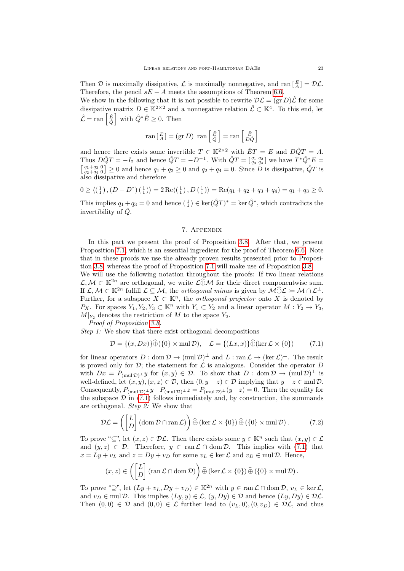Then  $D$  is maximally dissipative,  $\mathcal{L}$  is maximally nonnegative, and ran  $\begin{bmatrix} E \\ A \end{bmatrix} = D\mathcal{L}$ . Therefore, the pencil  $sE - A$  meets the assumptions of Theorem [6.6.](#page-19-1)

We show in the following that it is not possible to rewrite  $\mathcal{DL} = (\text{gr } D) \hat{\mathcal{L}}$  for some dissipative matrix  $D \in \mathbb{K}^{2 \times 2}$  and a nonnegative relation  $\hat{\mathcal{L}} \subset \mathbb{K}^4$ . To this end, let  $\hat{\mathcal{L}} = \operatorname{ran} \left[ \begin{smallmatrix} \hat{E} \ \hat{C} \end{smallmatrix} \right]$  $\hat{E}$  with  $\hat{Q}^* \hat{E} \geq 0$ . Then

$$
\operatorname{ran}\left[\begin{array}{c}E\\A\end{array}\right]=\left(\operatorname{gr} D\right)\operatorname{ran}\left[\begin{array}{c}\hat{E}\\ \hat{Q}\end{array}\right]=\operatorname{ran}\left[\begin{array}{c}\hat{E}\\ D\hat{Q}\end{array}\right]
$$

and hence there exists some invertible  $T \in \mathbb{K}^{2 \times 2}$  with  $\hat{E}T = E$  and  $D\hat{Q}T = A$ . Thus  $D\hat{Q}T = -I_2$  and hence  $\hat{Q}T = -D^{-1}$ . With  $\hat{Q}T = \begin{bmatrix} q_1 & q_2 \\ q_3 & q_4 \end{bmatrix}$  we have  $T^*\hat{Q}^*E =$  $\left[\frac{q_1+q_3}{q_2+q_4}0\right]\geq 0$  and hence  $q_1+q_3\geq 0$  and  $q_2+q_4=0$ . Since D is dissipative,  $\hat{Q}T$  is also dissipative and therefore

$$
0 \ge \langle \begin{pmatrix} 1 \\ 1 \end{pmatrix}, (D + D^*) \begin{pmatrix} 1 \\ 1 \end{pmatrix} \rangle = 2 \operatorname{Re} \langle \begin{pmatrix} 1 \\ 1 \end{pmatrix}, D \begin{pmatrix} 1 \\ 1 \end{pmatrix} \rangle = \operatorname{Re} (q_1 + q_2 + q_3 + q_4) = q_1 + q_3 \ge 0.
$$

This implies  $q_1 + q_3 = 0$  and hence  $(\frac{1}{1}) \in \ker(\hat{Q}T)^* = \ker \hat{Q}^*$ , which contradicts the invertibility of  $\hat{Q}$ .

# <span id="page-22-0"></span>7. Appendix

In this part we present the proof of Proposition [3.8.](#page-9-1) After that, we present Proposition [7.1,](#page-25-0) which is an essential ingredient for the proof of Theorem [6.6.](#page-19-1) Note that in these proofs we use the already proven results presented prior to Proposition [3.8,](#page-9-1) whereas the proof of Proposition [7.1](#page-25-0) will make use of Proposition [3.8.](#page-9-1)

We will use the following notation throughout the proofs: If two linear relations  $\mathcal{L}, \mathcal{M} \subset \mathbb{K}^{2n}$  are orthogonal, we write  $\mathcal{L}$ ⊕ $\mathcal{M}$  for their direct componentwise sum. If  $\mathcal{L},\mathcal{M}\subset \mathbb{K}^{2n}$  fulfill  $\mathcal{L}\subseteq \mathcal{M}$ , the *orthogonal minus* is given by  $\mathcal{M}\widehat{\ominus}\mathcal{L} \coloneqq \mathcal{M}\cap \mathcal{L}^{\perp}$ . Further, for a subspace  $X \subset \mathbb{K}^n$ , the *orthogonal projector* onto X is denoted by P<sub>X</sub>. For spaces  $Y_1, Y_2, Y_3 \subset \mathbb{K}^n$  with  $Y_1 \subset Y_2$  and a linear operator  $M: Y_2 \to Y_3$ ,  $M|_{Y_2}$  denotes the restriction of M to the space  $Y_2$ .

Proof of Proposition [3.8.](#page-9-1)

Step 1: We show that there exist orthogonal decompositions

$$
\mathcal{D} = \{(x, Dx)\}\widehat{\oplus}(\{0\} \times \text{mul}\,\mathcal{D}), \quad \mathcal{L} = \{(Lx, x)\}\widehat{\oplus}(\ker \mathcal{L} \times \{0\}) \tag{7.1}
$$

for linear operators  $D: \text{dom } \mathcal{D} \to (\text{mul } \mathcal{D})^{\perp}$  and  $L: \text{ran } \mathcal{L} \to (\ker \mathcal{L})^{\perp}$ . The result is proved only for  $\mathcal{D}$ ; the statement for  $\mathcal{L}$  is analogous. Consider the operator  $D$ with  $Dx = P_{(\text{mul }\mathcal{D})^{\perp}}y$  for  $(x, y) \in \mathcal{D}$ . To show that  $D : \text{dom }\mathcal{D} \to (\text{mul }\mathcal{D})^{\perp}$  is well-defined, let  $(x, y), (x, z) \in \mathcal{D}$ , then  $(0, y - z) \in \mathcal{D}$  implying that  $y - z \in \text{mul }\mathcal{D}$ . Consequently,  $P_{(\text{mul }\mathcal{D})^{\perp}}y - P_{(\text{mul }\mathcal{D})^{\perp}}z = P_{(\text{mul }\mathcal{D})^{\perp}}(y-z) = 0$ . Then the equality for the subspace  $\mathcal{D}$  in [\(7.1\)](#page-22-0) follows immediately and, by construction, the summands are orthogonal. Step 2: We show that

<span id="page-22-1"></span>
$$
\mathcal{DL} = \left( \begin{bmatrix} L \\ D \end{bmatrix} (\text{dom } \mathcal{D} \cap \text{ran } \mathcal{L}) \right) \widehat{\oplus} (\text{ker } \mathcal{L} \times \{0\}) \widehat{\oplus} (\{0\} \times \text{mul } \mathcal{D}). \tag{7.2}
$$

To prove "⊆", let  $(x, z) \in \mathcal{DL}$ . Then there exists some  $y \in \mathbb{K}^n$  such that  $(x, y) \in \mathcal{L}$ and  $(y, z) \in \mathcal{D}$ . Therefore,  $y \in \text{ran } \mathcal{L} \cap \text{dom } \mathcal{D}$ . This implies with [\(7.1\)](#page-22-0) that  $x = Ly + v_L$  and  $z = Dy + v_D$  for some  $v_L \in \text{ker } \mathcal{L}$  and  $v_D \in \text{mul } \mathcal{D}$ . Hence,

$$
(x,z) \in \left( \begin{bmatrix} L \\ D \end{bmatrix} (\operatorname{ran} \mathcal{L} \cap \operatorname{dom} \mathcal{D}) \right) \widehat{\oplus} (\ker \mathcal{L} \times \{0\}) \widehat{\oplus} (\{0\} \times \operatorname{mul} \mathcal{D}).
$$

To prove " $\supseteq$ ", let  $(Ly + v_L, Dy + v_D) \in \mathbb{K}^{2n}$  with  $y \in \text{ran }\mathcal{L} \cap \text{dom }\mathcal{D}, v_L \in \text{ker }\mathcal{L}$ , and  $v_D \in \text{mul}\,\mathcal{D}$ . This implies  $(Ly, y) \in \mathcal{L}$ ,  $(y, Dy) \in \mathcal{D}$  and hence  $(Ly, Dy) \in \mathcal{DL}$ . Then  $(0, 0) \in \mathcal{D}$  and  $(0, 0) \in \mathcal{L}$  further lead to  $(v_L, 0), (0, v_D) \in \mathcal{DL}$ , and thus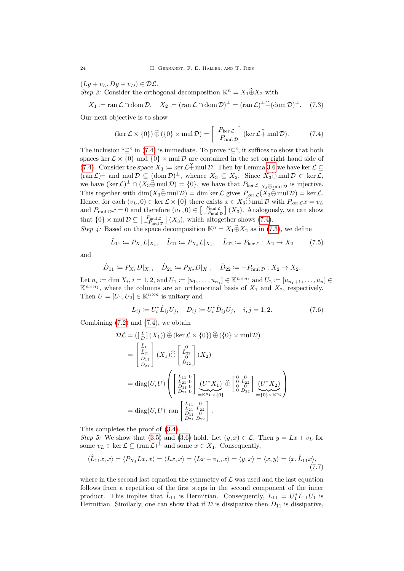$(Ly + v_L, Dy + v_D) \in \mathcal{DL}.$ 

Step 3: Consider the orthogonal decomposition  $\mathbb{K}^n = X_1 \widehat{\oplus} X_2$  with

 $X_1 \coloneqq \operatorname{ran} \mathcal{L} \cap \operatorname{dom} \mathcal{D}, \quad X_2 \coloneqq (\operatorname{ran} \mathcal{L} \cap \operatorname{dom} \mathcal{D})^\perp = (\operatorname{ran} \mathcal{L})^\perp \widehat{+} (\operatorname{dom} \mathcal{D})^\perp.$  (7.3) Our next objective is to show

<span id="page-23-1"></span><span id="page-23-0"></span>
$$
(\ker \mathcal{L} \times \{0\}) \widehat{\oplus} (\{0\} \times \text{mul}\,\mathcal{D}) = \begin{bmatrix} P_{\ker \mathcal{L}} \\ -P_{\text{mul}\,\mathcal{D}} \end{bmatrix} (\ker \mathcal{L}\widehat{+} \text{ mul}\,\mathcal{D}). \tag{7.4}
$$

The inclusion " $\supseteq$ " in [\(7.4\)](#page-23-0) is immediate. To prove " $\subseteq$ ", it suffices to show that both spaces ker  $\mathcal{L} \times \{0\}$  and  $\{0\} \times \text{mul } \mathcal{D}$  are contained in the set on right hand side of [\(7.4\)](#page-23-0). Consider the space  $X_3 \coloneqq \ker \mathcal{L} \widehat{+}$  mul D. Then by Lemma [3.6](#page-8-0) we have ker  $\mathcal{L} \subseteq$  $(\text{ran }\mathcal{L})^{\perp}$  and  $\text{mul }\mathcal{D} \subseteq (\text{dom }\mathcal{D})^{\perp}$ , whence  $X_3 \subseteq X_2$ . Since  $X_3 \widehat{\ominus} \text{mul }\mathcal{D} \subset \text{ker }\mathcal{L}$ , we have  $(\ker \mathcal{L})^{\perp} \cap (X_3 \widehat{\ominus} \text{ mul } \mathcal{D}) = \{0\}$ , we have that  $P_{\ker \mathcal{L}}|_{X_3 \widehat{\ominus} \text{ mul } \mathcal{D}}$  is injective. This together with  $\dim(X_3\widehat{\ominus} \text{mul }\mathcal{D}) = \dim \ker \mathcal{L}$  gives  $P_{\ker \mathcal{L}}(X_3\widehat{\ominus} \text{mul }\mathcal{D}) = \ker \mathcal{L}$ . Hence, for each  $(v_L, 0) \in \ker \mathcal{L} \times \{0\}$  there exists  $x \in X_3 \widehat{\ominus}$  mul D with  $P_{\ker \mathcal{L}} x = v_L$ and  $P_{\text{mul}\,\mathcal{D}}x = 0$  and therefore  $(v_L, 0) \in \left[\begin{array}{c} P_{\text{mul}\,\mathcal{L}} \\ -P_{\text{mul}\,\mathcal{D}} \end{array}\right](X_3)$ . Analogously, we can show that  $\{0\} \times \text{mul } \mathcal{D} \subseteq \left[\begin{array}{c} P_{\text{mul } \mathcal{L}} \\ -P_{\text{mul } \mathcal{D}} \end{array}\right] (X_3)$ , which altogether shows [\(7.4\)](#page-23-0).

Step 4: Based on the space decomposition  $\mathbb{K}^n = X_1 \widehat{\oplus} X_2$  as in [\(7.3\)](#page-23-1), we define

$$
\hat{L}_{11} := P_{X_1} L|_{X_1}, \quad \hat{L}_{21} := P_{X_2} L|_{X_1}, \quad \hat{L}_{22} := P_{\ker \mathcal{L}} : X_2 \to X_2 \tag{7.5}
$$

and

$$
\hat{D}_{11} := P_{X_1} D|_{X_1}, \quad \hat{D}_{21} := P_{X_2} D|_{X_1}, \quad \hat{D}_{22} := -P_{\text{mul } \mathcal{D}} : X_2 \to X_2.
$$

Let  $n_i := \dim X_i$ ,  $i = 1, 2$ , and  $U_1 := [u_1, \ldots, u_{n_1}] \in \mathbb{K}^{n \times n_1}$  and  $U_2 := [u_{n_1+1}, \ldots, u_n] \in$  $\mathbb{K}^{n \times n_2}$ , where the columns are an orthonormal basis of  $X_1$  and  $X_2$ , respectively. Then  $U = [U_1, U_2] \in \mathbb{K}^{n \times n}$  is unitary and

$$
L_{ij} := U_i^* \hat{L}_{ij} U_j, \quad D_{ij} := U_i^* \hat{D}_{ij} U_j, \quad i, j = 1, 2. \tag{7.6}
$$

Combining  $(7.2)$  and  $(7.4)$ , we obtain

$$
\mathcal{DL} = (\left[\begin{array}{c} L \\ D \end{array}\right](X_1)) \widehat{\oplus} (\ker \mathcal{L} \times \{0\}) \widehat{\oplus} (\{0\} \times \text{mul } \mathcal{D})
$$
\n
$$
= \begin{bmatrix} \hat{L}_{11} \\ \hat{L}_{21} \\ \hat{D}_{11} \end{bmatrix} (X_1) \widehat{\oplus} \begin{bmatrix} 0 \\ \hat{L}_{22} \\ 0 \end{bmatrix} (X_2)
$$
\n
$$
= \text{diag}(U, U) \left( \begin{bmatrix} L_{11} & 0 \\ L_{21} & 0 \\ D_{21} & 0 \end{bmatrix} \underbrace{(U^*X_1)}_{=K^{n_1} \times \{0\}} \widehat{\oplus} \begin{bmatrix} 0 & 0 \\ 0 & L_{22} \\ 0 & D_{22} \end{bmatrix} \underbrace{(U^*X_2)}_{= \{0\} \times K^{n_2}} \right)
$$
\n
$$
= \text{diag}(U, U) \text{ ran} \begin{bmatrix} L_{11} & 0 \\ L_{21} & L_{22} \\ D_{21} & D_{22} \end{bmatrix}.
$$

This completes the proof of [\(3.4\)](#page-9-2).

Step 5: We show that [\(3.5\)](#page-9-3) and [\(3.6\)](#page-9-4) hold. Let  $(y, x) \in \mathcal{L}$ . Then  $y = Lx + v<sub>L</sub>$  for some  $v_L \in \ker \mathcal{L} \subseteq (\operatorname{ran} \mathcal{L})^{\perp}$  and some  $x \in X_1$ . Consequently,

<span id="page-23-2"></span>
$$
\langle \hat{L}_{11}x, x \rangle = \langle P_{X_1}Lx, x \rangle = \langle Lx, x \rangle = \langle Lx + v_L, x \rangle = \langle y, x \rangle = \langle x, y \rangle = \langle x, \hat{L}_{11}x \rangle,
$$
\n(7.7)

where in the second last equation the symmetry of  $\mathcal L$  was used and the last equation follows from a repetition of the first steps in the second component of the inner product. This implies that  $\hat{L}_{11}$  is Hermitian. Consequently,  $L_{11} = U_1^* \hat{L}_{11} U_1$  is Hermitian. Similarly, one can show that if  $D$  is dissipative then  $D_{11}$  is dissipative,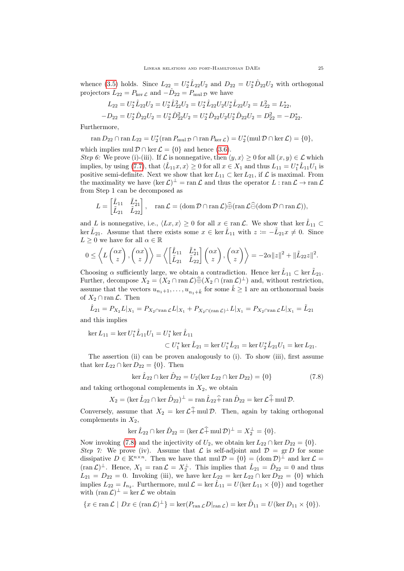whence [\(3.5\)](#page-9-3) holds. Since  $L_{22} = U_2^* \hat{L}_{22} U_2$  and  $D_{22} = U_2^* \hat{D}_{22} U_2$  with orthogonal projectors  $\hat{L}_{22} = P_{\text{ker }\mathcal{L}}$  and  $-\hat{D}_{22} = P_{\text{mul }\mathcal{D}}$  we have

$$
L_{22} = U_2^* \hat{L}_{22} U_2 = U_2^* \hat{L}_{22}^2 U_2 = U_2^* \hat{L}_{22} U_2 U_2^* \hat{L}_{22} U_2 = L_{22}^2 = L_{22}^*,
$$
  
-
$$
D_{22} = U_2^* \hat{D}_{22} U_2 = U_2^* \hat{D}_{22}^2 U_2 = U_2^* \hat{D}_{22} U_2 U_2^* \hat{D}_{22} U_2 = D_{22}^2 = -D_{22}^*.
$$

Furthermore,

$$
\operatorname{ran} D_{22} \cap \operatorname{ran} L_{22} = U_2^*(\operatorname{ran} P_{\operatorname{mul} \mathcal{D}} \cap \operatorname{ran} P_{\ker \mathcal{L}}) = U_2^*(\operatorname{mul} \mathcal{D} \cap \ker \mathcal{L}) = \{0\},\
$$

which implies mul  $\mathcal{D} \cap \ker \mathcal{L} = \{0\}$  and hence [\(3.6\)](#page-9-4).

Step 6: We prove (i)-(iii). If  $\mathcal L$  is nonnegative, then  $\langle y, x \rangle \geq 0$  for all  $(x, y) \in \mathcal L$  which implies, by using [\(7.7\)](#page-23-2), that  $\langle \hat{L}_{11}x, x \rangle \ge 0$  for all  $x \in X_1$  and thus  $L_{11} = U_1^* \hat{L}_{11} U_1$  is positive semi-definite. Next we show that ker  $L_{11} \subset \text{ker } L_{21}$ , if  $\mathcal L$  is maximal. From the maximality we have  $(\ker \mathcal{L})^{\perp} = \tan \mathcal{L}$  and thus the operator  $L : \tan \mathcal{L} \to \tan \mathcal{L}$ from Step 1 can be decomposed as

$$
L = \begin{bmatrix} \hat{L}_{11} & \tilde{L}_{21}^* \\ \tilde{L}_{21} & \tilde{L}_{22} \end{bmatrix}, \quad \operatorname{ran} \mathcal{L} = (\operatorname{dom} \mathcal{D} \cap \operatorname{ran} \mathcal{L}) \widehat{\oplus} (\operatorname{ran} \mathcal{L} \widehat{\ominus} (\operatorname{dom} \mathcal{D} \cap \operatorname{ran} \mathcal{L})),
$$

and L is nonnegative, i.e.,  $\langle Lx, x \rangle \geq 0$  for all  $x \in \text{ran }\mathcal{L}$ . We show that ker  $\hat{L}_{11} \subset$ ker  $\tilde{L}_{21}$ . Assume that there exists some  $x \in \ker \hat{L}_{11}$  with  $z := -\tilde{L}_{21}x \neq 0$ . Since  $L\geq 0$  we have for all  $\alpha\in\mathbb{R}$ 

$$
0 \le \left\langle L\begin{pmatrix} \alpha x \\ z \end{pmatrix}, \begin{pmatrix} \alpha x \\ z \end{pmatrix} \right\rangle = \left\langle \begin{bmatrix} \hat{L}_{11} & \tilde{L}_{21}^* \\ \tilde{L}_{21} & \tilde{L}_{22} \end{bmatrix} \begin{pmatrix} \alpha x \\ z \end{pmatrix}, \begin{pmatrix} \alpha x \\ z \end{pmatrix} \right\rangle = -2\alpha \|z\|^2 + \|\tilde{L}_{22}z\|^2.
$$

Choosing  $\alpha$  sufficiently large, we obtain a contradiction. Hence ker  $\hat{L}_{11} \subset \text{ker } \tilde{L}_{21}$ . Further, decompose  $X_2 = (X_2 \cap \text{ran }\mathcal{L}) \widehat{\oplus} (X_2 \cap (\text{ran }\mathcal{L})^{\perp})$  and, without restriction, assume that the vectors  $u_{n_1+1}, \ldots, u_{n_1+\hat{k}}$  for some  $\hat{k} \ge 1$  are an orthonormal basis of  $X_2 \cap \operatorname{ran} \mathcal{L}$ . Then

 $\hat{L}_{21}=P_{X_2}L|_{X_1}=P_{X_2\cap\mathop{\mathrm{ran}}\nolimits\mathcal{L}}L|_{X_1}+P_{X_2\cap(\mathop{\mathrm{ran}}\nolimits\mathcal{L})^\perp}L|_{X_1}=P_{X_2\cap\mathop{\mathrm{ran}}\nolimits\mathcal{L}}L|_{X_1}=\tilde{L}_{21}$ and this implies

 $\ker L_{11} = \ker U_1^* \hat{L}_{11} U_1 = U_1^* \ker \hat{L}_{11}$ 

<span id="page-24-0"></span>
$$
\subset U_1^* \ker \tilde{L}_{21} = \ker U_1^* \hat{L}_{21} = \ker U_2^* \hat{L}_{21} U_1 = \ker L_{21}.
$$

The assertion (ii) can be proven analogously to (i). To show (iii), first assume that ker  $L_{22} \cap \text{ker } D_{22} = \{0\}.$  Then

$$
\ker \hat{L}_{22} \cap \ker \hat{D}_{22} = U_2(\ker L_{22} \cap \ker D_{22}) = \{0\}
$$
\n(7.8)

and taking orthogonal complements in  $X_2$ , we obtain

$$
X_2 = (\ker \hat{L}_{22} \cap \ker \hat{D}_{22})^{\perp} = \operatorname{ran} \hat{L}_{22} + \operatorname{ran} \hat{D}_{22} = \ker \mathcal{L} + \operatorname{mul} \mathcal{D}.
$$

Conversely, assume that  $X_2 = \ker \widehat{\mathcal{L}} + \text{mul }\mathcal{D}$ . Then, again by taking orthogonal complements in  $X_2$ ,

$$
\ker \hat{L}_{22} \cap \ker \hat{D}_{22} = (\ker \mathcal{L} \hat{+} \operatorname{mul} \mathcal{D})^{\perp} = X_2^{\perp} = \{0\}.
$$

Now invoking [\(7.8\)](#page-24-0) and the injectivity of  $U_2$ , we obtain ker  $L_{22} \cap \text{ker } D_{22} = \{0\}.$ Step 7: We prove (iv). Assume that  $\mathcal L$  is self-adjoint and  $\mathcal D = \text{gr } D$  for some dissipative  $D \in \mathbb{K}^{n \times n}$ . Then we have that  $m \mathfrak{u}(\mathcal{D}) = \{0\} = (\text{dom }\mathcal{D})^{\perp}$  and ker  $\mathcal{L} =$  $(\text{ran }\mathcal{L})^{\perp}$ . Hence,  $X_1 = \text{ran }\mathcal{L} = X_2^{\perp}$ . This implies that  $\hat{L}_{21} = \hat{D}_{22} = 0$  and thus  $L_{21} = D_{22} = 0$ . Invoking (iii), we have ker  $L_{22} = \ker L_{22} \cap \ker D_{22} = \{0\}$  which implies  $L_{22} = I_{n_2}$ . Furthermore, mul  $\mathcal{L} = \ker \hat{L}_{11} = U(\ker L_{11} \times \{0\})$  and together with  $(\operatorname{ran} \mathcal{L})^{\perp} = \ker \mathcal{L}$  we obtain

$$
\{x \in \operatorname{ran} \mathcal{L} \mid Dx \in (\operatorname{ran} \mathcal{L})^{\perp}\} = \ker(P_{\operatorname{ran} \mathcal{L}}D|_{\operatorname{ran} \mathcal{L}}) = \ker \hat{D}_{11} = U(\ker D_{11} \times \{0\}).
$$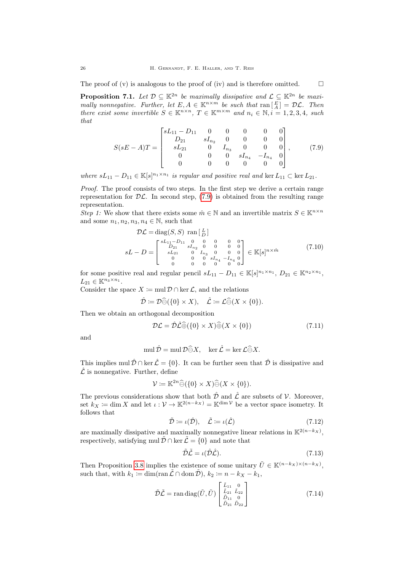The proof of (v) is analogous to the proof of (iv) and is therefore omitted.  $\square$ 

<span id="page-25-0"></span>**Proposition 7.1.** Let  $\mathcal{D} \subseteq \mathbb{K}^{2n}$  be maximally dissipative and  $\mathcal{L} \subseteq \mathbb{K}^{2n}$  be maximally nonnegative. Further, let  $E, A \in \mathbb{K}^{n \times m}$  be such that  $\text{ran} [E] = \mathcal{DL}$ . Then there exist some invertible  $S \in \mathbb{K}^{n \times n}$ ,  $T \in \mathbb{K}^{m \times m}$  and  $n_i \in \mathbb{N}$ ,  $i = 1, 2, 3, 4$ , such that

$$
S(sE-A)T = \begin{bmatrix} sL_{11} - D_{11} & 0 & 0 & 0 & 0 & 0 \\ D_{21} & sI_{n_2} & 0 & 0 & 0 & 0 \\ sL_{21} & 0 & I_{n_3} & 0 & 0 & 0 \\ 0 & 0 & 0 & sI_{n_4} & -I_{n_4} & 0 \\ 0 & 0 & 0 & 0 & 0 & 0 \end{bmatrix}, \quad (7.9)
$$

where  $sL_{11} - D_{11} \in K[s]^{n_1 \times n_1}$  is regular and positive real and ker  $L_{11} \subset \text{ker } L_{21}$ .

Proof. The proof consists of two steps. In the first step we derive a certain range representation for  $D\mathcal{L}$ . In second step, [\(7.9\)](#page-25-1) is obtained from the resulting range representation.

Step 1: We show that there exists some  $\hat{m} \in \mathbb{N}$  and an invertible matrix  $S \in \mathbb{K}^{n \times n}$ and some  $n_1, n_2, n_3, n_4 \in \mathbb{N}$ , such that  $\overline{r}$ 

<span id="page-25-4"></span>
$$
\mathcal{DL} = \text{diag}(S, S) \text{ ran} \begin{bmatrix} L \\ D \end{bmatrix}
$$

$$
sL - D = \begin{bmatrix} sL_{11} - D_{11} & 0 & 0 & 0 & 0 & 0 \\ D_{21} & sI_{n2} & 0 & 0 & 0 & 0 \\ sL_{21} & 0 & I_{n3} & 0 & 0 & 0 \\ 0 & 0 & 0 & sI_{n4} & -I_{n4} & 0 \\ 0 & 0 & 0 & 0 & 0 & 0 \end{bmatrix} \in \mathbb{K}[s]^{n \times \hat{m}}
$$
(7.10)

for some positive real and regular pencil  $sL_{11} - D_{11} \in \mathbb{K}[s]^{n_1 \times n_1}$ ,  $D_{21} \in \mathbb{K}^{n_2 \times n_1}$ ,  $L_{21} \in \mathbb{K}^{n_3 \times n_1}.$ 

Consider the space  $X := \text{mul } \mathcal{D} \cap \text{ker } \mathcal{L}$ , and the relations

$$
\hat{\mathcal{D}} := \mathcal{D}\widehat{\ominus}(\{0\} \times X), \quad \hat{\mathcal{L}} := \mathcal{L}\widehat{\ominus}(X \times \{0\}).
$$

Then we obtain an orthogonal decomposition

<span id="page-25-2"></span>
$$
\mathcal{DL} = \hat{\mathcal{DL}}\hat{\oplus}(\{0\} \times X)\hat{\oplus}(X \times \{0\})\tag{7.11}
$$

and

$$
\operatorname{mul}\hat{\mathcal{D}} = \operatorname{mul}\mathcal{D}\hat{\ominus}X, \quad \ker \hat{\mathcal{L}} = \ker \mathcal{L}\hat{\ominus}X.
$$

This implies mul  $\hat{\mathcal{D}} \cap \ker \hat{\mathcal{L}} = \{0\}$ . It can be further seen that  $\hat{\mathcal{D}}$  is dissipative and  $\hat{\mathcal{L}}$  is nonnegative. Further, define

$$
\mathcal{V} := \mathbb{K}^{2n} \widehat{\ominus} (\{0\} \times X) \widehat{\ominus} (X \times \{0\}).
$$

The previous considerations show that both  $\hat{\mathcal{D}}$  and  $\hat{\mathcal{L}}$  are subsets of  $\mathcal{V}$ . Moreover, set  $k_X := \dim X$  and let  $\iota : \mathcal{V} \to \mathbb{K}^{2(n-k_X)} = \mathbb{K}^{\dim \mathcal{V}}$  be a vector space isometry. It follows that

$$
\tilde{\mathcal{D}} := \iota(\hat{\mathcal{D}}), \quad \tilde{\mathcal{L}} := \iota(\hat{\mathcal{L}}) \tag{7.12}
$$

are maximally dissipative and maximally nonnegative linear relations in  $\mathbb{K}^{2(n-k_X)}$ , respectively, satisfying mul  $\tilde{\mathcal{D}} \cap \ker \tilde{\mathcal{L}} = \{0\}$  and note that

<span id="page-25-3"></span>
$$
\tilde{\mathcal{D}}\tilde{\mathcal{L}} = \iota(\hat{\mathcal{D}}\hat{\mathcal{L}}). \tag{7.13}
$$

Then Proposition [3.8](#page-9-1) implies the existence of some unitary  $\tilde{U} \in \mathbb{K}^{(n-k_X)\times (n-k_X)}$ , such that, with  $k_1 \coloneqq \dim(\operatorname{ran} \tilde{\mathcal{L}} \cap \operatorname{dom} \tilde{\mathcal{D}}), k_2 \coloneqq n - k_X - k_1$ ,

$$
\tilde{\mathcal{D}}\tilde{\mathcal{L}} = \text{ran diag}(\tilde{U}, \tilde{U}) \begin{bmatrix} \tilde{L}_{11} & 0 \\ \tilde{L}_{21} & \tilde{L}_{22} \\ \tilde{D}_{11} & 0 \\ \tilde{D}_{21} & \tilde{D}_{22} \end{bmatrix}
$$
(7.14)

<span id="page-25-1"></span>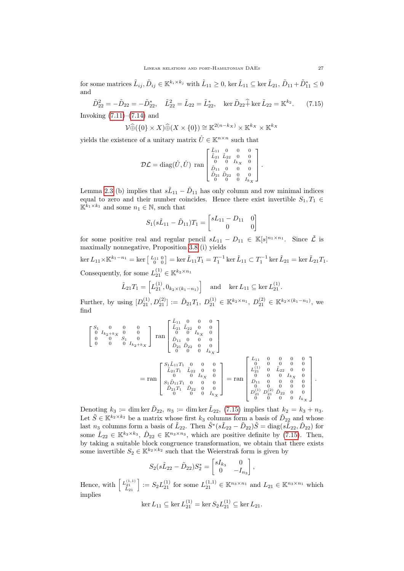for some matrices  $\tilde{L}_{ij}, \tilde{D}_{ij} \in \mathbb{K}^{k_i \times k_j}$  with  $\tilde{L}_{11} \geq 0$ , ker  $\tilde{L}_{11} \subseteq \ker \tilde{L}_{21}, \tilde{D}_{11} + \tilde{D}_{11}^* \leq 0$ and

 $\tilde{D}_{22}^2 = -\tilde{D}_{22} = -\tilde{D}_{22}^*, \quad \tilde{L}_{22}^2 = \tilde{L}_{22} = \tilde{L}_{22}^*, \quad \ker \tilde{D}_{22} \hat{+} \ker \tilde{L}_{22} = \mathbb{K}^{k_2}$  $(7.15)$ Invoking  $(7.11)–(7.14)$  $(7.11)–(7.14)$  $(7.11)–(7.14)$  and

$$
\mathcal{V}\widehat{\oplus}(\{0\} \times X)\widehat{\oplus}(X \times \{0\}) \cong \mathbb{K}^{2(n-k_X)} \times \mathbb{K}^{k_X} \times \mathbb{K}^{k_X}
$$

yields the existence of a unitary matrix  $\hat{U} \in \mathbb{K}^{n \times n}$  such that

<span id="page-26-0"></span>
$$
\mathcal{DL} = \text{diag}(\hat{U}, \hat{U}) \text{ ran}\begin{bmatrix} \tilde{L}_{11} & 0 & 0 & 0 \\ \tilde{L}_{21} & \tilde{L}_{22} & 0 & 0 \\ 0 & 0 & I_{k_X} & 0 \\ \tilde{D}_{11} & 0 & 0 & 0 \\ \tilde{D}_{21} & \tilde{D}_{22} & 0 & 0 \\ 0 & 0 & 0 & I_{k_X} \end{bmatrix}.
$$

Lemma [2.3](#page-4-1) (b) implies that  $s\tilde{L}_{11} - \tilde{D}_{11}$  has only column and row minimal indices equal to zero and their number coincides. Hence there exist invertible  $S_1, T_1 \in$  $\mathbb{K}^{\bar{k}_1 \times k_1}$  and some  $n_1 \in \mathbb{N}$ , such that

$$
S_1(s\tilde{L}_{11} - \tilde{D}_{11})T_1 = \begin{bmatrix} sL_{11} - D_{11} & 0\\ 0 & 0 \end{bmatrix}
$$

for some positive real and regular pencil  $sL_{11} - D_{11} \in K[s]^{n_1 \times n_1}$ . Since  $\tilde{\mathcal{L}}$  is maximally nonnegative, Proposition [3.8](#page-9-1) (i) yields

 $\ker L_{11} \times \mathbb{K}^{k_1 - n_1} = \ker \begin{bmatrix} L_{11} & 0 \\ 0 & 0 \end{bmatrix} = \ker \tilde{L}_{11} T_1 = T_1^{-1} \ker \tilde{L}_{11} \subset T_1^{-1} \ker \tilde{L}_{21} = \ker \tilde{L}_{21} T_1.$ Consequently, for some  $L_{21}^{(1)} \in \mathbb{K}^{k_2 \times n_1}$ 

$$
\tilde{L}_{21}T_1 = \left[L_{21}^{(1)}, 0_{k_2 \times (k_1 - n_1)}\right] \text{ and } \ker L_{11} \subseteq \ker L_{21}^{(1)}.
$$

Further, by using  $[D_{21}^{(1)}, D_{21}^{(2)}] := \tilde{D}_{21}T_1, D_{21}^{(1)} \in \mathbb{K}^{k_2 \times n_1}, D_{21}^{(2)} \in \mathbb{K}^{k_2 \times (k_1 - n_1)}$ , we find

$$
\begin{bmatrix}\nS_1 & 0 & 0 & 0 & 0 \\
0 & I_{k_2+k_X} & 0 & 0 & 0 \\
0 & 0 & 0 & I_{k_2+k_X}\n\end{bmatrix}\n\text{ ran}\n\begin{bmatrix}\n\tilde{L}_{21} & 0 & 0 & 0 \\
\tilde{L}_{21} & \tilde{L}_{22} & 0 & 0 \\
0 & 0 & I_{k_X} & 0 \\
\tilde{D}_{21} & \tilde{D}_{22} & 0 & 0 \\
0 & 0 & 0 & I_{k_X}\n\end{bmatrix}
$$
\n
$$
= \text{ran}\n\begin{bmatrix}\nS_1 \tilde{L}_{11} T_1 & 0 & 0 & 0 \\
\tilde{L}_{21} T_1 & \tilde{L}_{22} & 0 & 0 \\
0 & 0 & 0 & I_{k_X}\n\end{bmatrix}\n= \text{ran}\n\begin{bmatrix}\nL_{11} & 0 & 0 & 0 & 0 \\
0 & 0 & 0 & 0 & 0 \\
L_{21}^0 & 0 & 0 & 0 & 0 \\
0 & 0 & 0 & I_{k_X} & 0 \\
0 & 0 & 0 & 0 & 0 \\
0 & 0 & 0 & 0 & 0 \\
0 & 0 & 0 & 0 & 0 \\
0 & 0 & 0 & 0 & 0\n\end{bmatrix}.
$$

Denoting  $k_3 \coloneqq \dim \ker \tilde{D}_{22}, n_3 \coloneqq \dim \ker \tilde{L}_{22}, (7.15)$  $k_3 \coloneqq \dim \ker \tilde{D}_{22}, n_3 \coloneqq \dim \ker \tilde{L}_{22}, (7.15)$  implies that  $k_2 = k_3 + n_3$ . Let  $\tilde{S} \in \mathbb{K}^{k_2 \times k_2}$  be a matrix whose first  $k_3$  columns form a basis of  $\tilde{D}_{22}$  and whose last  $n_3$  columns form a basis of  $\tilde{L}_{22}$ . Then  $\tilde{S}^*(s\tilde{L}_{22} - \tilde{D}_{22})\tilde{S} = \text{diag}(s\hat{L}_{22}, \hat{D}_{22})$  for some  $\hat{L}_{22} \in \mathbb{K}^{k_3 \times k_3}$ ,  $\hat{D}_{22} \in \mathbb{K}^{n_3 \times n_3}$ , which are positive definite by [\(7.15\)](#page-26-0). Then, by taking a suitable block congruence transformation, we obtain that there exists some invertible  $S_2 \in \mathbb{K}^{k_2 \times k_2}$  such that the Weierstraß form is given by

$$
S_2(s\tilde{L}_{22}-\tilde{D}_{22})S_2^* = \begin{bmatrix} sI_{k_3} & 0\\ 0 & -I_{n_3} \end{bmatrix},
$$

Hence, with  $\begin{bmatrix} L_{21}^{(1,1)} \\ L_{21}^{(2)} \end{bmatrix} := S_2 L_{21}^{(1)}$  for some  $L_{21}^{(1,1)} \in \mathbb{K}^{n_3 \times n_1}$  and  $L_{21} \in \mathbb{K}^{n_3 \times n_1}$  which implies

$$
\ker L_{11} \subseteq \ker L_{21}^{(1)} = \ker S_2 L_{21}^{(1)} \subseteq \ker L_{21}.
$$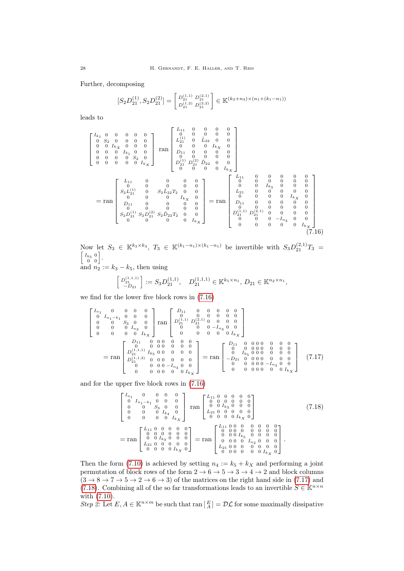Further, decomposing

$$
[S_2D_{21}^{(1)},S_2D_{21}^{(2)}]=\left[\begin{smallmatrix}D_{21}^{(1,1)} & D_{21}^{(2,1)} \\ D_{21}^{(1,2)} & D_{21}^{(2,2)} \end{smallmatrix}\right]\in\mathbb{K}^{(k_3+n_3)\times(n_1+(k_1-n_1))}
$$

leads to

$$
\begin{bmatrix}\nI_{k_1} & 0 & 0 & 0 & 0 & 0 \\
0 & S_2 & 0 & 0 & 0 & 0 \\
0 & 0 & I_{k_X} & 0 & 0 & 0 \\
0 & 0 & 0 & 0 & S_2 & 0 \\
0 & 0 & 0 & 0 & 0 & I_{k_X}\n\end{bmatrix}\n\text{ ran}\n\begin{bmatrix}\nL_{11} & 0 & 0 & 0 & 0 & 0 \\
0 & 0 & 0 & 0 & 0 & 0 \\
0 & 0 & 0 & 0 & I_{k_X} & 0 \\
0 & 0 & 0 & 0 & 0 & 0 \\
0 & 0 & 0 & 0 & I_{k_X}\n\end{bmatrix}
$$
\n
$$
\text{ran}\n\begin{bmatrix}\nL_{11} & 0 & 0 & 0 & 0 & 0 \\
0 & 0 & 0 & 0 & I_{k_X} & 0 \\
0 & 0 & 0 & 0 & 0 & 0 \\
0 & 0 & 0 & 0 & I_{k_X}\n\end{bmatrix}
$$
\n
$$
= \text{ran}\n\begin{bmatrix}\nL_{11} & 0 & 0 & 0 & 0 & 0 \\
0 & 0 & 0 & 0 & 0 & 0 \\
0 & 0 & 0 & 0 & 0 & 0 \\
0 & 0 & 0 & 0 & I_{k_X} & 0 \\
0 & 0 & 0 & 0 & I_{k_X} & 0 \\
0 & 0 & 0 & 0 & I_{k_X} & 0 \\
0 & 0 & 0 & 0 & 0 & 0 \\
0 & 0 & 0 & 0 & 0 & 0 \\
0 & 0 & 0 & 0 & 0 & 0 \\
0 & 0 & 0 & 0 & 0 & 0\n\end{bmatrix}\n\text{ ran}\n\begin{bmatrix}\nL_{11} & 0 & 0 & 0 & 0 & 0 & 0 \\
0 & 0 & 0 & 0 & 0 & 0 & 0 \\
0 & 0 & 0 & 0 & 0 & 0 & 0 \\
0 & 0 & 0 & 0 & 0 & 0 & 0 \\
0 & 0 & 0 & 0 & 0 & 0 & 0 \\
0 & 0 & 0 & 0 & 0 & 0 & 0 \\
0 & 0 & 0 & 0 & 0 & 0 & 0 \\
0 & 0 & 0 & 0 & 0 & 0 & 0 \\
0 & 0 & 0 & 0 & 0 & 0 & 0\n\end{bmatrix}
$$
\n
$$
= \text{ran}\n\begin{
$$

Now let  $S_3 \in \mathbb{K}^{k_3 \times k_3}$ ,  $T_3 \in \mathbb{K}^{(k_1 - n_1) \times (k_1 - n_1)}$  be invertible with  $S_3 D_{21}^{(2,1)} T_3 = \begin{bmatrix} I_{k_5} & 0 \\ 0 & 0 \end{bmatrix}$ .

and  $n_2 := k_3 - k_5$ , then using

<span id="page-27-0"></span>
$$
\begin{bmatrix} D_{21}^{(1,1,1)} \ -D_{21} \end{bmatrix} := S_3 D_{21}^{(1,1)}, \quad D_{21}^{(1,1,1)} \in \mathbb{K}^{k_5 \times n_1}, D_{21} \in \mathbb{K}^{n_2 \times n_1},
$$

we find for the lower five block rows in [\(7.16\)](#page-27-0)

$$
\begin{bmatrix}\nI_{n_1} & 0 & 0 & 0 & 0 & 0 \\
0 & I_{n_1-k_1} & 0 & 0 & 0 & 0 \\
0 & 0 & S_3 & 0 & 0 & 0 \\
0 & 0 & 0 & I_{n_3} & 0 \\
0 & 0 & 0 & 0 & I_{kX}\n\end{bmatrix}\n\text{ran}\n\begin{bmatrix}\nD_{11} & 0 & 0 & 0 & 0 & 0 \\
0 & 0 & 0 & 0 & 0 & 0 \\
D_{21}^{(1,1)} & D_{21}^{(2,1)} & 0 & 0 & 0 \\
0 & 0 & 0 & 0 & 0 & I_{kX}\n\end{bmatrix}
$$
\n
$$
= \text{ran}\n\begin{bmatrix}\nD_{11} & 0 & 0 & 0 & 0 & 0 \\
0 & 0 & 0 & 0 & 0 & 0 \\
0 & 0 & 0 & 0 & 0 & 0 \\
D_{21}^{(1,1,1)} & I_{k_5} & 0 & 0 & 0 & 0 \\
D_{21}^{(1,1,2)} & 0 & 0 & 0 & 0 & 0 \\
0 & 0 & 0 & -I_{n_3} & 0 & 0 \\
0 & 0 & 0 & 0 & 0 & I_{kX}\n\end{bmatrix} = \text{ran}\n\begin{bmatrix}\nD_{11} & 0 & 0 & 0 & 0 & 0 & 0 \\
0 & 0 & 0 & 0 & 0 & 0 & 0 \\
0 & I_{k_5} & 0 & 0 & 0 & 0 & 0 \\
0 & 0 & 0 & 0 & 0 & 0 & 0 \\
0 & 0 & 0 & 0 & 0 & 0 & I_{kX}\n\end{bmatrix} (7.17)
$$

and for the upper five block rows in [\(7.16\)](#page-27-0)

<span id="page-27-2"></span><span id="page-27-1"></span>
$$
\begin{bmatrix}\nI_{n_1} & 0 & 0 & 0 & 0 \\
0 & I_{n_1-k_1} & 0 & 0 & 0 \\
0 & 0 & S_{3} & 0 & 0 \\
0 & 0 & 0 & I_{k_4} & 0 \\
0 & 0 & 0 & 0 & I_{k_4}\n\end{bmatrix}\n\text{ ran}\n\begin{bmatrix}\nL_{11} & 0 & 0 & 0 & 0 & 0 \\
0 & 0 & 0 & 0 & 0 & 0 \\
0 & 0 & I_{k_3} & 0 & 0 & 0 \\
L_{21} & 0 & 0 & 0 & 0 & 0 \\
0 & 0 & 0 & 0 & I_{k_4}\n\end{bmatrix}\n\begin{bmatrix}\nL_{11} & 0 & 0 & 0 & 0 & 0 \\
0 & 0 & I_{k_3} & 0 & 0 & 0 \\
L_{21} & 0 & 0 & 0 & 0 & 0 \\
0 & 0 & 0 & I_{k_5} & 0 & 0 \\
0 & 0 & 0 & I_{k_5} & 0 & 0 \\
0 & 0 & 0 & I_{k_5}\n\end{bmatrix}\n\begin{bmatrix}\nL_{11} & 0 & 0 & 0 & 0 & 0 \\
L_{21} & 0 & 0 & 0 & 0 & 0 \\
0 & 0 & 0 & I_{k_5} & 0 & 0 \\
0 & 0 & 0 & I_{k_5} & 0 & 0 \\
0 & 0 & 0 & I_{k_5} & 0 & 0 \\
0 & 0 & 0 & 0 & 0 & I_{k_5}\n\end{bmatrix}.
$$
\n(7.18)

Then the form [\(7.10\)](#page-25-4) is achieved by setting  $n_4 := k_5 + k_X$  and performing a joint permutation of block rows of the form  $2 \rightarrow 6 \rightarrow 5 \rightarrow 3 \rightarrow 4 \rightarrow 2$  and block columns  $(3 \rightarrow 8 \rightarrow 7 \rightarrow 5 \rightarrow 2 \rightarrow 6 \rightarrow 3)$  of the matrices on the right hand side in [\(7.17\)](#page-27-1) and [\(7.18\)](#page-27-2). Combining all of the so far transformations leads to an invertible  $S \in \mathbb{K}^{n \times n}$ with [\(7.10\)](#page-25-4).

Step 2: Let  $E, A \in \mathbb{K}^{n \times m}$  be such that  $\text{ran} \begin{bmatrix} E \\ A \end{bmatrix} = \mathcal{DL}$  for some maximally dissipative